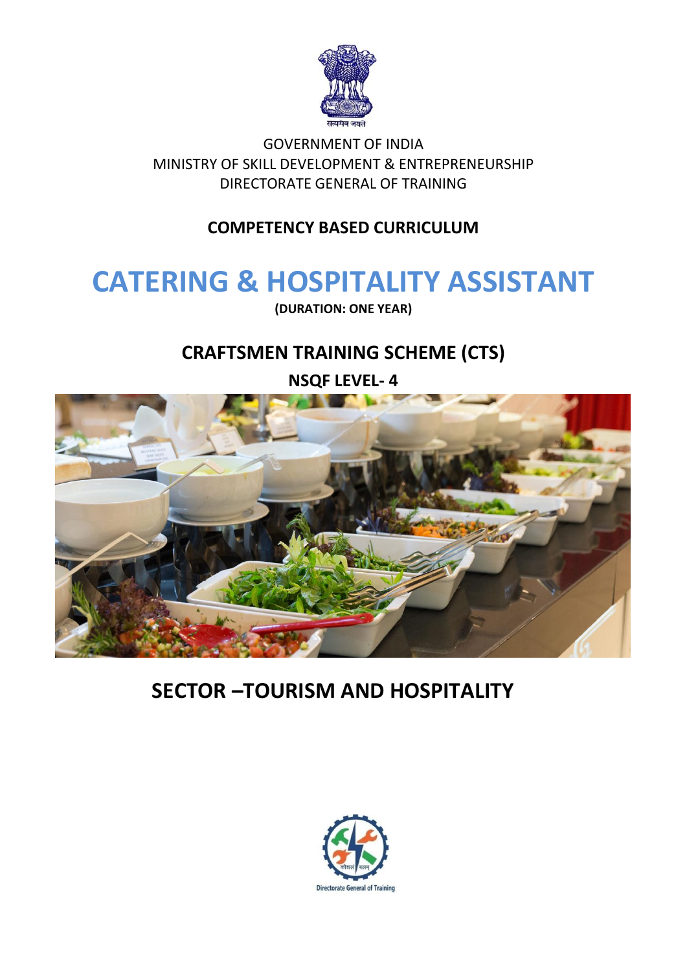

GOVERNMENT OF INDIA MINISTRY OF SKILL DEVELOPMENT & ENTREPRENEURSHIP DIRECTORATE GENERAL OF TRAINING

## **COMPETENCY BASED CURRICULUM**

## **CATERING & HOSPITALITY ASSISTANT**

**(DURATION: ONE YEAR)**

## **CRAFTSMEN TRAINING SCHEME (CTS)**

**NSQF LEVEL- 4**



## **SECTOR –TOURISM AND HOSPITALITY**

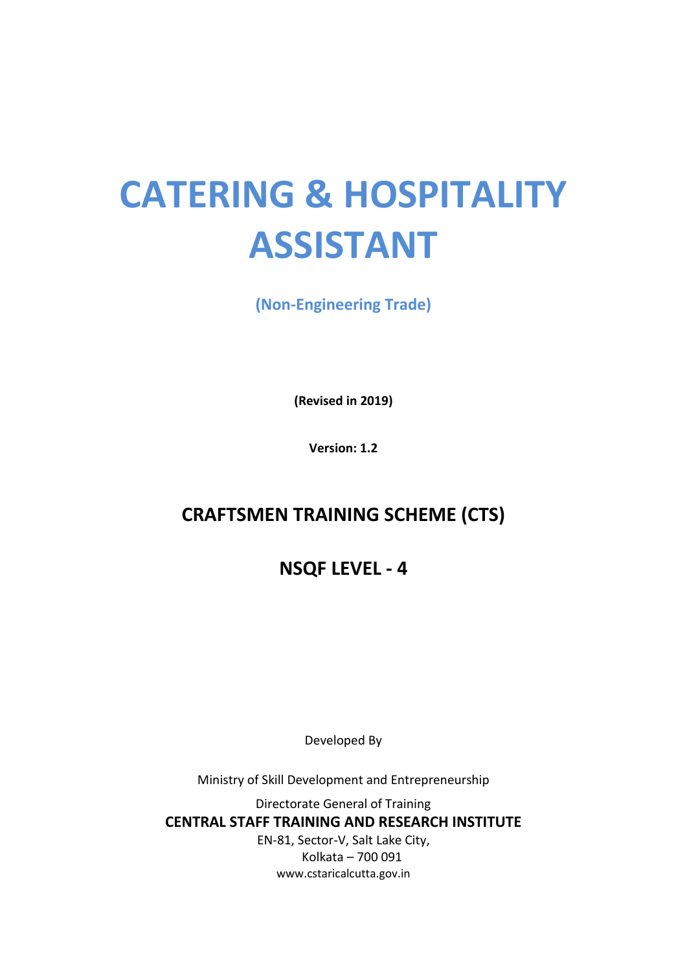# **CATERING & HOSPITALITY ASSISTANT**

**(Non-Engineering Trade)**

**(Revised in 2019)**

**Version: 1.2**

## **CRAFTSMEN TRAINING SCHEME (CTS)**

## **NSQF LEVEL - 4**

Developed By

Ministry of Skill Development and Entrepreneurship

Directorate General of Training **CENTRAL STAFF TRAINING AND RESEARCH INSTITUTE** EN-81, Sector-V, Salt Lake City,

Kolkata – 700 091 www.cstaricalcutta.gov.in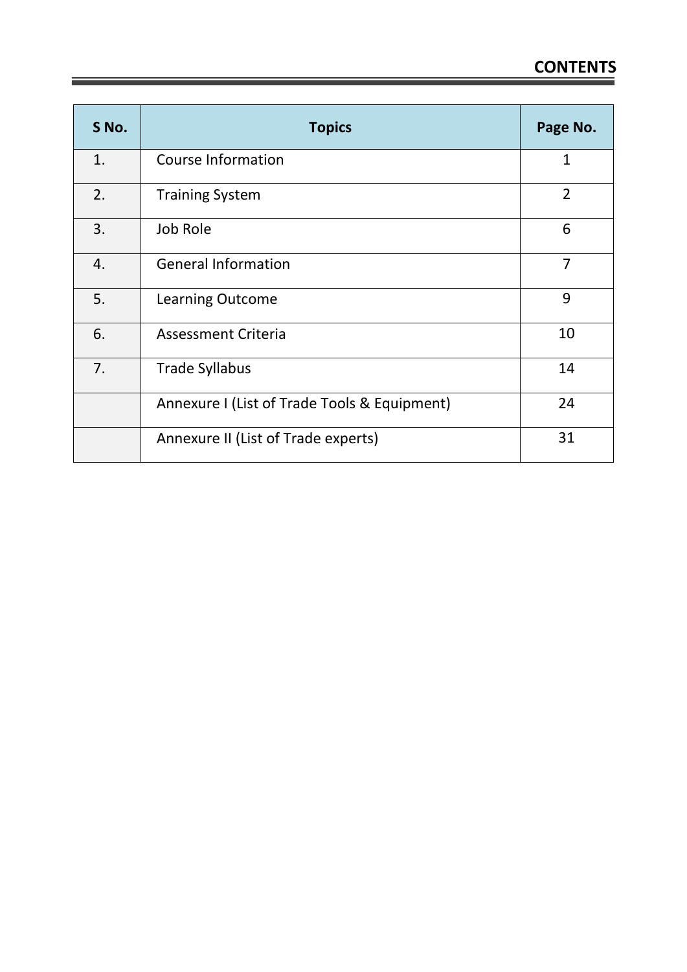| S No. | <b>Topics</b>                                | Page No.       |
|-------|----------------------------------------------|----------------|
| 1.    | <b>Course Information</b>                    | $\mathbf{1}$   |
| 2.    | <b>Training System</b>                       | $\overline{2}$ |
| 3.    | Job Role                                     | 6              |
| 4.    | <b>General Information</b>                   | $\overline{7}$ |
| 5.    | <b>Learning Outcome</b>                      | 9              |
| 6.    | <b>Assessment Criteria</b>                   | 10             |
| 7.    | <b>Trade Syllabus</b>                        | 14             |
|       | Annexure I (List of Trade Tools & Equipment) | 24             |
|       | Annexure II (List of Trade experts)          | 31             |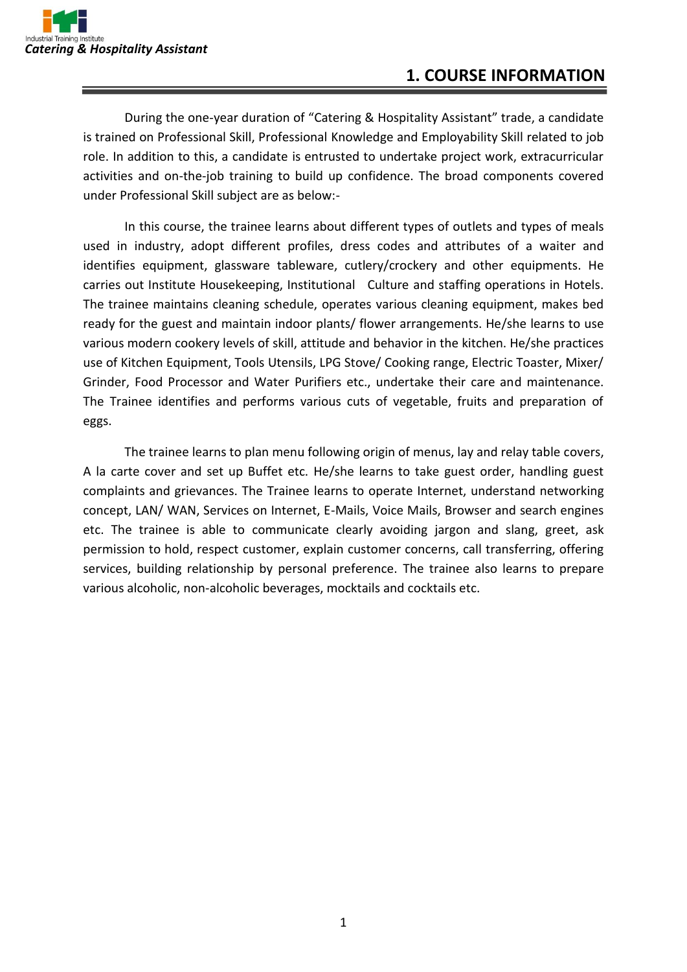During the one-year duration of "Catering & Hospitality Assistant" trade, a candidate is trained on Professional Skill, Professional Knowledge and Employability Skill related to job role. In addition to this, a candidate is entrusted to undertake project work, extracurricular activities and on-the-job training to build up confidence. The broad components covered under Professional Skill subject are as below:-

In this course, the trainee learns about different types of outlets and types of meals used in industry, adopt different profiles, dress codes and attributes of a waiter and identifies equipment, glassware tableware, cutlery/crockery and other equipments. He carries out Institute Housekeeping, Institutional Culture and staffing operations in Hotels. The trainee maintains cleaning schedule, operates various cleaning equipment, makes bed ready for the guest and maintain indoor plants/ flower arrangements. He/she learns to use various modern cookery levels of skill, attitude and behavior in the kitchen. He/she practices use of Kitchen Equipment, Tools Utensils, LPG Stove/ Cooking range, Electric Toaster, Mixer/ Grinder, Food Processor and Water Purifiers etc., undertake their care and maintenance. The Trainee identifies and performs various cuts of vegetable, fruits and preparation of eggs.

The trainee learns to plan menu following origin of menus, lay and relay table covers, A la carte cover and set up Buffet etc. He/she learns to take guest order, handling guest complaints and grievances. The Trainee learns to operate Internet, understand networking concept, LAN/ WAN, Services on Internet, E-Mails, Voice Mails, Browser and search engines etc. The trainee is able to communicate clearly avoiding jargon and slang, greet, ask permission to hold, respect customer, explain customer concerns, call transferring, offering services, building relationship by personal preference. The trainee also learns to prepare various alcoholic, non-alcoholic beverages, mocktails and cocktails etc.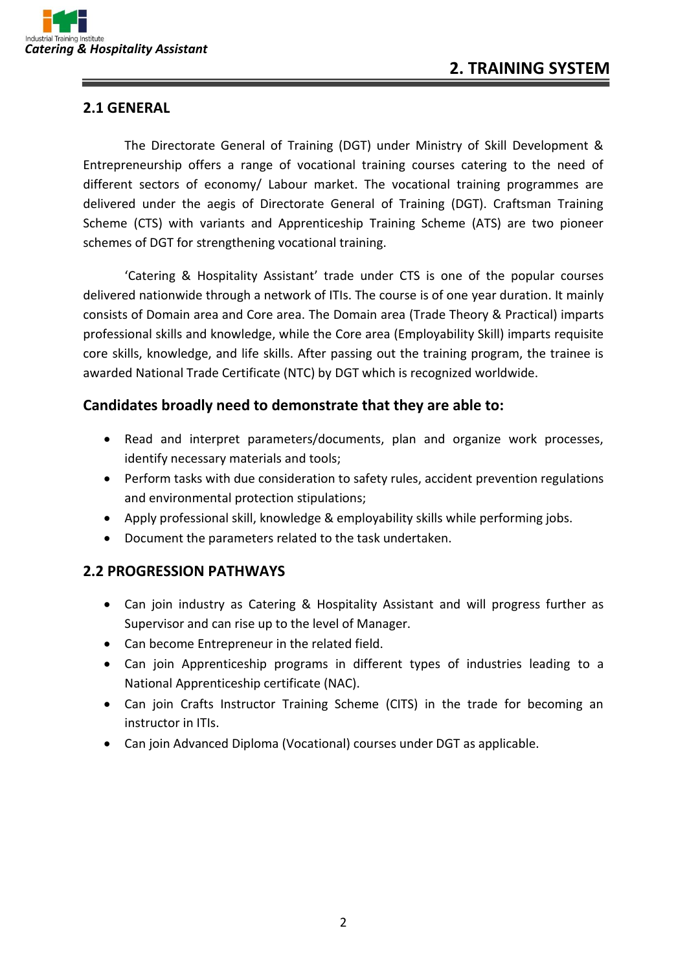#### **2.1 GENERAL**

The Directorate General of Training (DGT) under Ministry of Skill Development & Entrepreneurship offers a range of vocational training courses catering to the need of different sectors of economy/ Labour market. The vocational training programmes are delivered under the aegis of Directorate General of Training (DGT). Craftsman Training Scheme (CTS) with variants and Apprenticeship Training Scheme (ATS) are two pioneer schemes of DGT for strengthening vocational training.

'Catering & Hospitality Assistant' trade under CTS is one of the popular courses delivered nationwide through a network of ITIs. The course is of one year duration. It mainly consists of Domain area and Core area. The Domain area (Trade Theory & Practical) imparts professional skills and knowledge, while the Core area (Employability Skill) imparts requisite core skills, knowledge, and life skills. After passing out the training program, the trainee is awarded National Trade Certificate (NTC) by DGT which is recognized worldwide.

#### **Candidates broadly need to demonstrate that they are able to:**

- Read and interpret parameters/documents, plan and organize work processes, identify necessary materials and tools;
- Perform tasks with due consideration to safety rules, accident prevention regulations and environmental protection stipulations;
- Apply professional skill, knowledge & employability skills while performing jobs.
- Document the parameters related to the task undertaken.

#### **2.2 PROGRESSION PATHWAYS**

- Can join industry as Catering & Hospitality Assistant and will progress further as Supervisor and can rise up to the level of Manager.
- Can become Entrepreneur in the related field.
- Can join Apprenticeship programs in different types of industries leading to a National Apprenticeship certificate (NAC).
- Can join Crafts Instructor Training Scheme (CITS) in the trade for becoming an instructor in ITIs.
- Can join Advanced Diploma (Vocational) courses under DGT as applicable.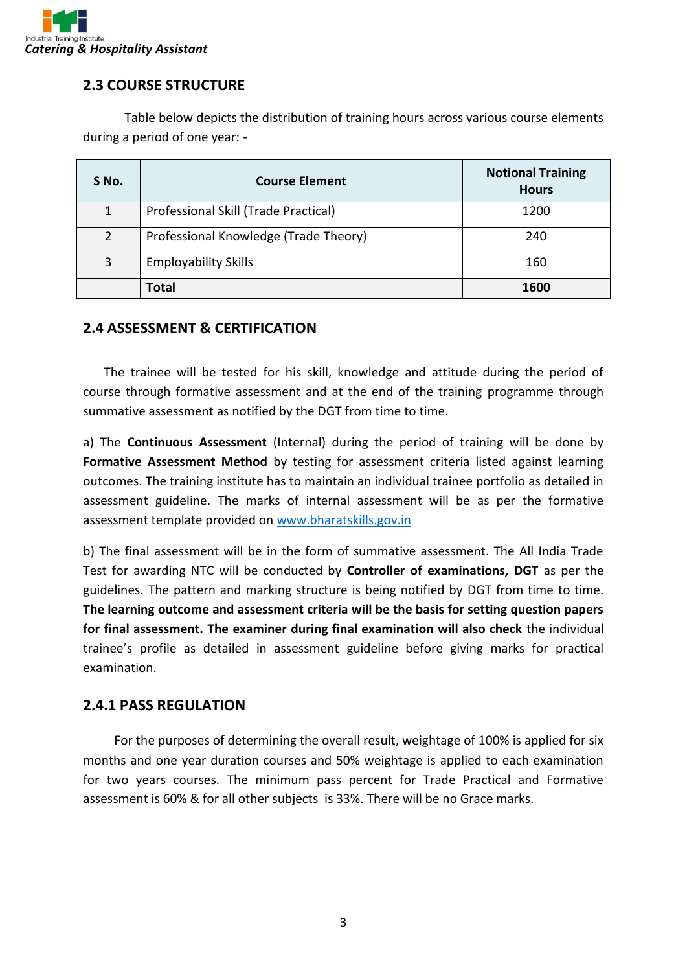

#### **2.3 COURSE STRUCTURE**

Table below depicts the distribution of training hours across various course elements during a period of one year: -

| S No. | <b>Course Element</b>                 | <b>Notional Training</b><br><b>Hours</b> |
|-------|---------------------------------------|------------------------------------------|
| 1     | Professional Skill (Trade Practical)  | 1200                                     |
| 2     | Professional Knowledge (Trade Theory) | 240                                      |
| 3     | <b>Employability Skills</b>           | 160                                      |
|       | <b>Total</b>                          | 1600                                     |

#### **2.4 ASSESSMENT & CERTIFICATION**

The trainee will be tested for his skill, knowledge and attitude during the period of course through formative assessment and at the end of the training programme through summative assessment as notified by the DGT from time to time.

a) The **Continuous Assessment** (Internal) during the period of training will be done by Formative Assessment Method by testing for assessment criteria listed against learning outcomes. The training institute has to maintain an individual trainee portfolio as detailed in assessment guideline. The marks of internal assessment will be as per the formative assessment template provided on [www.bharatskills.gov.in](http://www.bharatskills.gov.in/)

b) The final assessment will be in the form of summative assessment. The All India Trade Test for awarding NTC will be conducted by **Controller of examinations, DGT** as per the guidelines. The pattern and marking structure is being notified by DGT from time to time. **The learning outcome and assessment criteria will be the basis for setting question papers for final assessment. The examiner during final examination will also check** the individual trainee's profile as detailed in assessment guideline before giving marks for practical examination.

#### **2.4.1 PASS REGULATION**

For the purposes of determining the overall result, weightage of 100% is applied for six months and one year duration courses and 50% weightage is applied to each examination for two years courses. The minimum pass percent for Trade Practical and Formative assessment is 60% & for all other subjects is 33%. There will be no Grace marks.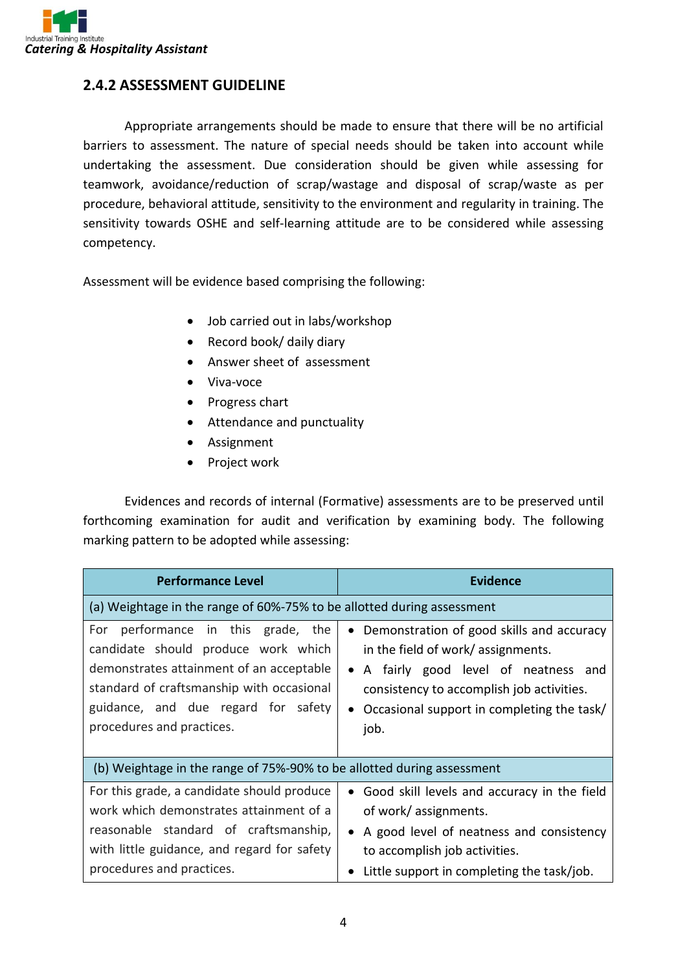

#### **2.4.2 ASSESSMENT GUIDELINE**

Appropriate arrangements should be made to ensure that there will be no artificial barriers to assessment. The nature of special needs should be taken into account while undertaking the assessment. Due consideration should be given while assessing for teamwork, avoidance/reduction of scrap/wastage and disposal of scrap/waste as per procedure, behavioral attitude, sensitivity to the environment and regularity in training. The sensitivity towards OSHE and self-learning attitude are to be considered while assessing competency.

Assessment will be evidence based comprising the following:

- Job carried out in labs/workshop
- Record book/ daily diary
- Answer sheet of assessment
- Viva-voce
- Progress chart
- Attendance and punctuality
- Assignment
- Project work

Evidences and records of internal (Formative) assessments are to be preserved until forthcoming examination for audit and verification by examining body. The following marking pattern to be adopted while assessing:

| <b>Performance Level</b>                                                                                                                                                                                                                  | <b>Evidence</b>                                                                                                                                                                                                               |  |
|-------------------------------------------------------------------------------------------------------------------------------------------------------------------------------------------------------------------------------------------|-------------------------------------------------------------------------------------------------------------------------------------------------------------------------------------------------------------------------------|--|
| (a) Weightage in the range of 60%-75% to be allotted during assessment                                                                                                                                                                    |                                                                                                                                                                                                                               |  |
| performance in this grade, the<br>For<br>candidate should produce work which<br>demonstrates attainment of an acceptable<br>standard of craftsmanship with occasional<br>guidance, and due regard for safety<br>procedures and practices. | • Demonstration of good skills and accuracy<br>in the field of work/ assignments.<br>• A fairly good level of neatness and<br>consistency to accomplish job activities.<br>Occasional support in completing the task/<br>job. |  |
| (b) Weightage in the range of 75%-90% to be allotted during assessment                                                                                                                                                                    |                                                                                                                                                                                                                               |  |
| For this grade, a candidate should produce<br>work which demonstrates attainment of a<br>reasonable standard of craftsmanship,<br>with little guidance, and regard for safety<br>procedures and practices.                                | • Good skill levels and accuracy in the field<br>of work/ assignments.<br>• A good level of neatness and consistency<br>to accomplish job activities.<br>Little support in completing the task/job.                           |  |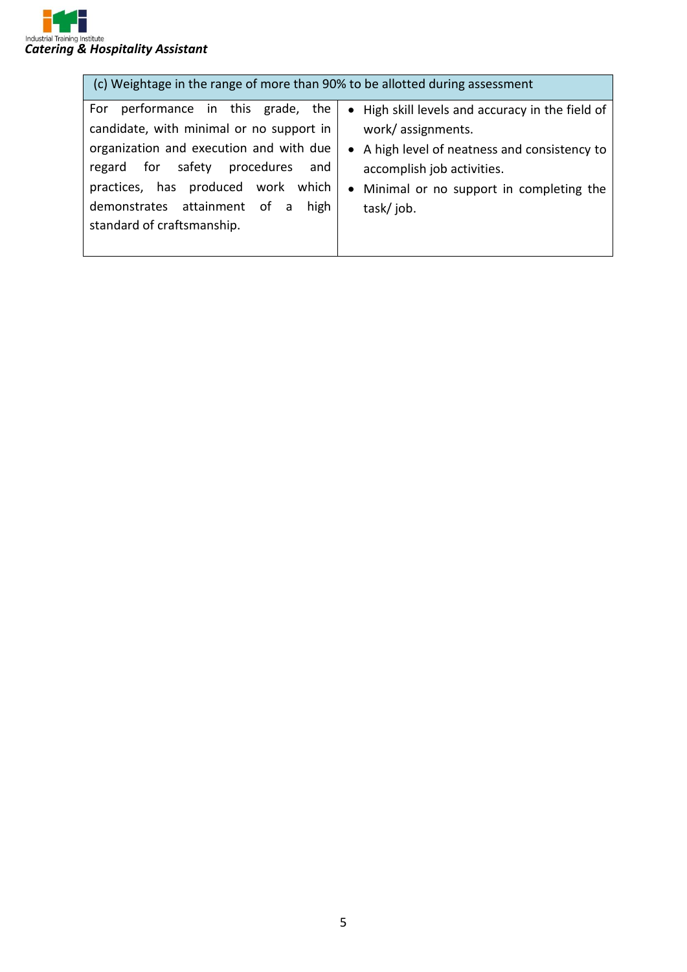

| (c) Weightage in the range of more than 90% to be allotted during assessment                                                                                                                                                                                                    |                                                                                                                                                                                                                |  |  |
|---------------------------------------------------------------------------------------------------------------------------------------------------------------------------------------------------------------------------------------------------------------------------------|----------------------------------------------------------------------------------------------------------------------------------------------------------------------------------------------------------------|--|--|
| performance in this grade, the<br>For<br>candidate, with minimal or no support in<br>organization and execution and with due<br>regard for safety procedures<br>and<br>practices, has produced work which<br>demonstrates attainment of a<br>high<br>standard of craftsmanship. | • High skill levels and accuracy in the field of<br>work/assignments.<br>• A high level of neatness and consistency to<br>accomplish job activities.<br>• Minimal or no support in completing the<br>task/job. |  |  |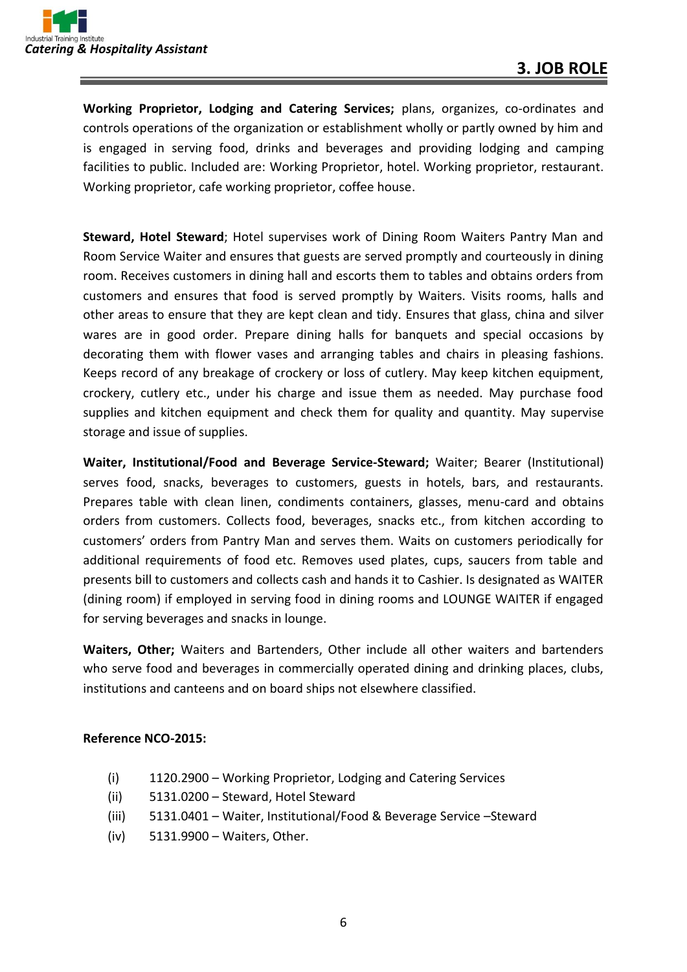**Working Proprietor, Lodging and Catering Services;** plans, organizes, co-ordinates and controls operations of the organization or establishment wholly or partly owned by him and is engaged in serving food, drinks and beverages and providing lodging and camping facilities to public. Included are: Working Proprietor, hotel. Working proprietor, restaurant. Working proprietor, cafe working proprietor, coffee house.

**Steward, Hotel Steward**; Hotel supervises work of Dining Room Waiters Pantry Man and Room Service Waiter and ensures that guests are served promptly and courteously in dining room. Receives customers in dining hall and escorts them to tables and obtains orders from customers and ensures that food is served promptly by Waiters. Visits rooms, halls and other areas to ensure that they are kept clean and tidy. Ensures that glass, china and silver wares are in good order. Prepare dining halls for banquets and special occasions by decorating them with flower vases and arranging tables and chairs in pleasing fashions. Keeps record of any breakage of crockery or loss of cutlery. May keep kitchen equipment, crockery, cutlery etc., under his charge and issue them as needed. May purchase food supplies and kitchen equipment and check them for quality and quantity. May supervise storage and issue of supplies.

**Waiter, Institutional/Food and Beverage Service-Steward;** Waiter; Bearer (Institutional) serves food, snacks, beverages to customers, guests in hotels, bars, and restaurants. Prepares table with clean linen, condiments containers, glasses, menu-card and obtains orders from customers. Collects food, beverages, snacks etc., from kitchen according to customers' orders from Pantry Man and serves them. Waits on customers periodically for additional requirements of food etc. Removes used plates, cups, saucers from table and presents bill to customers and collects cash and hands it to Cashier. Is designated as WAITER (dining room) if employed in serving food in dining rooms and LOUNGE WAITER if engaged for serving beverages and snacks in lounge.

**Waiters, Other;** Waiters and Bartenders, Other include all other waiters and bartenders who serve food and beverages in commercially operated dining and drinking places, clubs, institutions and canteens and on board ships not elsewhere classified.

#### **Reference NCO-2015:**

- (i) 1120.2900 Working Proprietor, Lodging and Catering Services
- (ii) 5131.0200 Steward, Hotel Steward
- (iii) 5131.0401 Waiter, Institutional/Food & Beverage Service –Steward
- (iv) 5131.9900 Waiters, Other.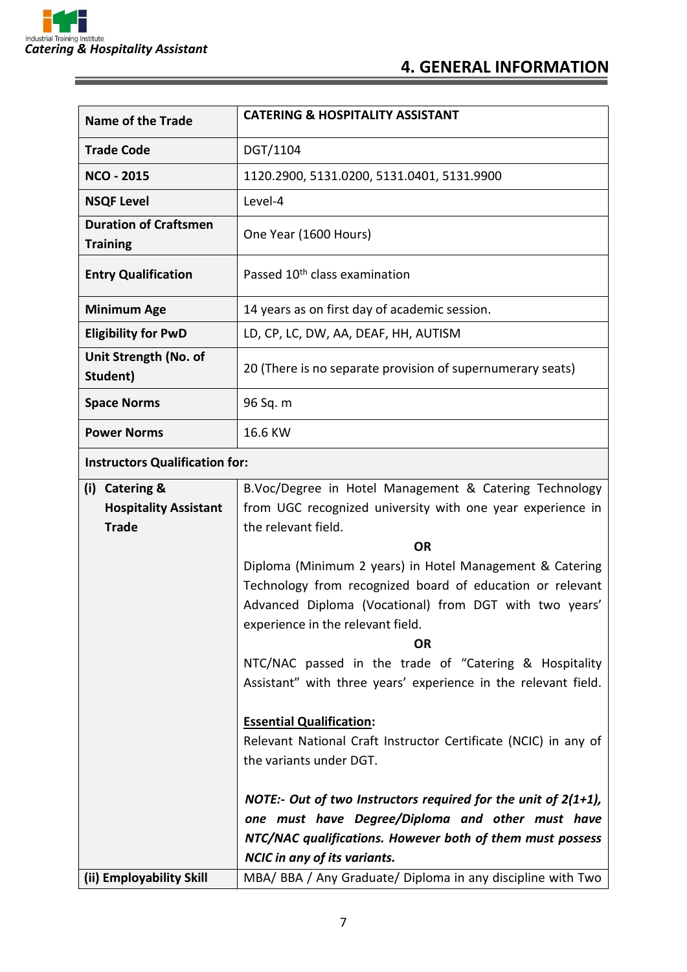<u> 1989 - Johann Barnett, mars et al. 19</u>

 $\equiv$ 

| <b>Name of the Trade</b>                                       | <b>CATERING &amp; HOSPITALITY ASSISTANT</b>                                                                                                                                                                                                                                                                                                                                                                                                                                                                                                                                                                                                                                                                                                                                         |  |
|----------------------------------------------------------------|-------------------------------------------------------------------------------------------------------------------------------------------------------------------------------------------------------------------------------------------------------------------------------------------------------------------------------------------------------------------------------------------------------------------------------------------------------------------------------------------------------------------------------------------------------------------------------------------------------------------------------------------------------------------------------------------------------------------------------------------------------------------------------------|--|
| <b>Trade Code</b>                                              | DGT/1104                                                                                                                                                                                                                                                                                                                                                                                                                                                                                                                                                                                                                                                                                                                                                                            |  |
| <b>NCO - 2015</b>                                              | 1120.2900, 5131.0200, 5131.0401, 5131.9900                                                                                                                                                                                                                                                                                                                                                                                                                                                                                                                                                                                                                                                                                                                                          |  |
| <b>NSQF Level</b>                                              | Level-4                                                                                                                                                                                                                                                                                                                                                                                                                                                                                                                                                                                                                                                                                                                                                                             |  |
| <b>Duration of Craftsmen</b><br><b>Training</b>                | One Year (1600 Hours)                                                                                                                                                                                                                                                                                                                                                                                                                                                                                                                                                                                                                                                                                                                                                               |  |
| <b>Entry Qualification</b>                                     | Passed 10 <sup>th</sup> class examination                                                                                                                                                                                                                                                                                                                                                                                                                                                                                                                                                                                                                                                                                                                                           |  |
| <b>Minimum Age</b>                                             | 14 years as on first day of academic session.                                                                                                                                                                                                                                                                                                                                                                                                                                                                                                                                                                                                                                                                                                                                       |  |
| <b>Eligibility for PwD</b>                                     | LD, CP, LC, DW, AA, DEAF, HH, AUTISM                                                                                                                                                                                                                                                                                                                                                                                                                                                                                                                                                                                                                                                                                                                                                |  |
| Unit Strength (No. of<br>Student)                              | 20 (There is no separate provision of supernumerary seats)                                                                                                                                                                                                                                                                                                                                                                                                                                                                                                                                                                                                                                                                                                                          |  |
| <b>Space Norms</b>                                             | 96 Sq. m                                                                                                                                                                                                                                                                                                                                                                                                                                                                                                                                                                                                                                                                                                                                                                            |  |
| <b>Power Norms</b>                                             | 16.6 KW                                                                                                                                                                                                                                                                                                                                                                                                                                                                                                                                                                                                                                                                                                                                                                             |  |
| <b>Instructors Qualification for:</b>                          |                                                                                                                                                                                                                                                                                                                                                                                                                                                                                                                                                                                                                                                                                                                                                                                     |  |
| (i) Catering &<br><b>Hospitality Assistant</b><br><b>Trade</b> | B.Voc/Degree in Hotel Management & Catering Technology<br>from UGC recognized university with one year experience in<br>the relevant field.<br><b>OR</b><br>Diploma (Minimum 2 years) in Hotel Management & Catering<br>Technology from recognized board of education or relevant<br>Advanced Diploma (Vocational) from DGT with two years'<br>experience in the relevant field.<br><b>OR</b><br>NTC/NAC passed in the trade of "Catering & Hospitality<br>Assistant" with three years' experience in the relevant field.<br><b>Essential Qualification:</b><br>Relevant National Craft Instructor Certificate (NCIC) in any of<br>the variants under DGT.<br>NOTE:- Out of two Instructors required for the unit of $2(1+1)$ ,<br>one must have Degree/Diploma and other must have |  |
|                                                                | NTC/NAC qualifications. However both of them must possess                                                                                                                                                                                                                                                                                                                                                                                                                                                                                                                                                                                                                                                                                                                           |  |
|                                                                |                                                                                                                                                                                                                                                                                                                                                                                                                                                                                                                                                                                                                                                                                                                                                                                     |  |
| (ii) Employability Skill                                       | <b>NCIC</b> in any of its variants.<br>MBA/ BBA / Any Graduate/ Diploma in any discipline with Two                                                                                                                                                                                                                                                                                                                                                                                                                                                                                                                                                                                                                                                                                  |  |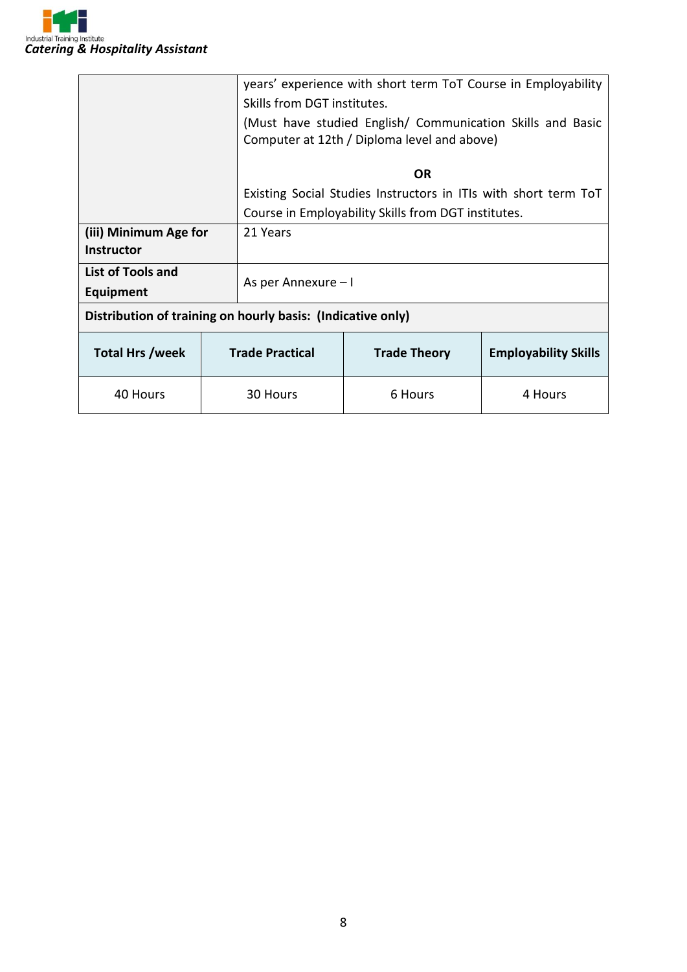

|                                                             |  |                                                                 | years' experience with short term ToT Course in Employability |                             |  |
|-------------------------------------------------------------|--|-----------------------------------------------------------------|---------------------------------------------------------------|-----------------------------|--|
|                                                             |  | Skills from DGT institutes.                                     |                                                               |                             |  |
|                                                             |  |                                                                 | (Must have studied English/ Communication Skills and Basic    |                             |  |
|                                                             |  | Computer at 12th / Diploma level and above)                     |                                                               |                             |  |
|                                                             |  | <b>OR</b>                                                       |                                                               |                             |  |
|                                                             |  |                                                                 |                                                               |                             |  |
|                                                             |  | Existing Social Studies Instructors in ITIs with short term ToT |                                                               |                             |  |
|                                                             |  | Course in Employability Skills from DGT institutes.             |                                                               |                             |  |
| (iii) Minimum Age for                                       |  | 21 Years                                                        |                                                               |                             |  |
| <b>Instructor</b>                                           |  |                                                                 |                                                               |                             |  |
| <b>List of Tools and</b>                                    |  |                                                                 |                                                               |                             |  |
| <b>Equipment</b>                                            |  | As per Annexure - I                                             |                                                               |                             |  |
| Distribution of training on hourly basis: (Indicative only) |  |                                                                 |                                                               |                             |  |
| <b>Total Hrs /week</b>                                      |  | <b>Trade Practical</b>                                          | <b>Trade Theory</b>                                           | <b>Employability Skills</b> |  |
| 40 Hours                                                    |  | 30 Hours                                                        | 6 Hours                                                       | 4 Hours                     |  |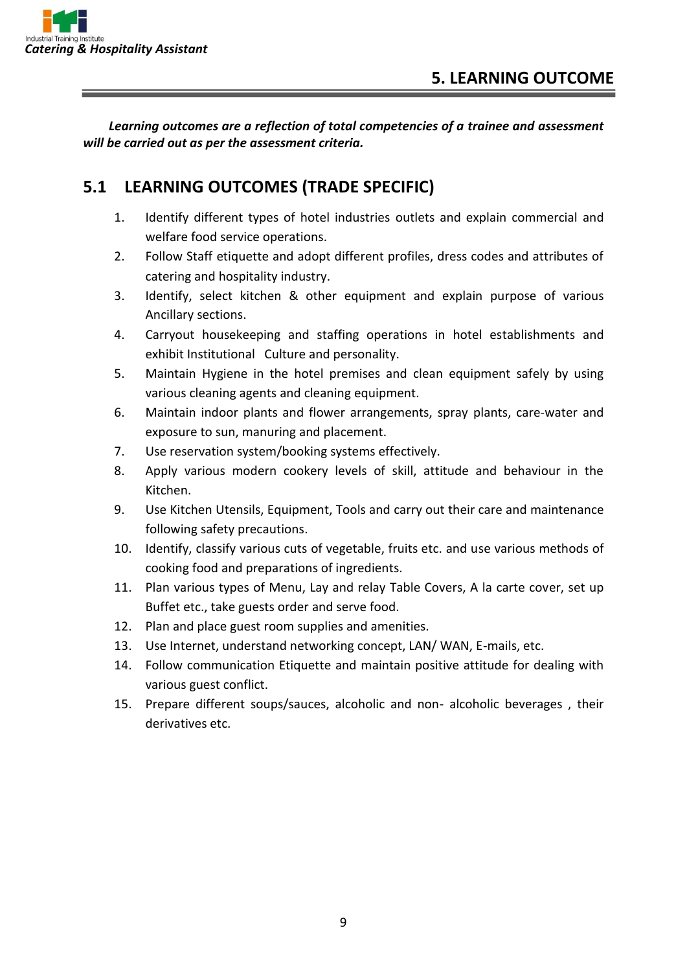*Learning outcomes are a reflection of total competencies of a trainee and assessment will be carried out as per the assessment criteria.*

### **5.1 LEARNING OUTCOMES (TRADE SPECIFIC)**

- 1. Identify different types of hotel industries outlets and explain commercial and welfare food service operations.
- 2. Follow Staff etiquette and adopt different profiles, dress codes and attributes of catering and hospitality industry.
- 3. Identify, select kitchen & other equipment and explain purpose of various Ancillary sections.
- 4. Carryout housekeeping and staffing operations in hotel establishments and exhibit Institutional Culture and personality.
- 5. Maintain Hygiene in the hotel premises and clean equipment safely by using various cleaning agents and cleaning equipment.
- 6. Maintain indoor plants and flower arrangements, spray plants, care-water and exposure to sun, manuring and placement.
- 7. Use reservation system/booking systems effectively.
- 8. Apply various modern cookery levels of skill, attitude and behaviour in the Kitchen.
- 9. Use Kitchen Utensils, Equipment, Tools and carry out their care and maintenance following safety precautions.
- 10. Identify, classify various cuts of vegetable, fruits etc. and use various methods of cooking food and preparations of ingredients.
- 11. Plan various types of Menu, Lay and relay Table Covers, A la carte cover, set up Buffet etc., take guests order and serve food.
- 12. Plan and place guest room supplies and amenities.
- 13. Use Internet, understand networking concept, LAN/ WAN, E-mails, etc.
- 14. Follow communication Etiquette and maintain positive attitude for dealing with various guest conflict.
- 15. Prepare different soups/sauces, alcoholic and non- alcoholic beverages , their derivatives etc.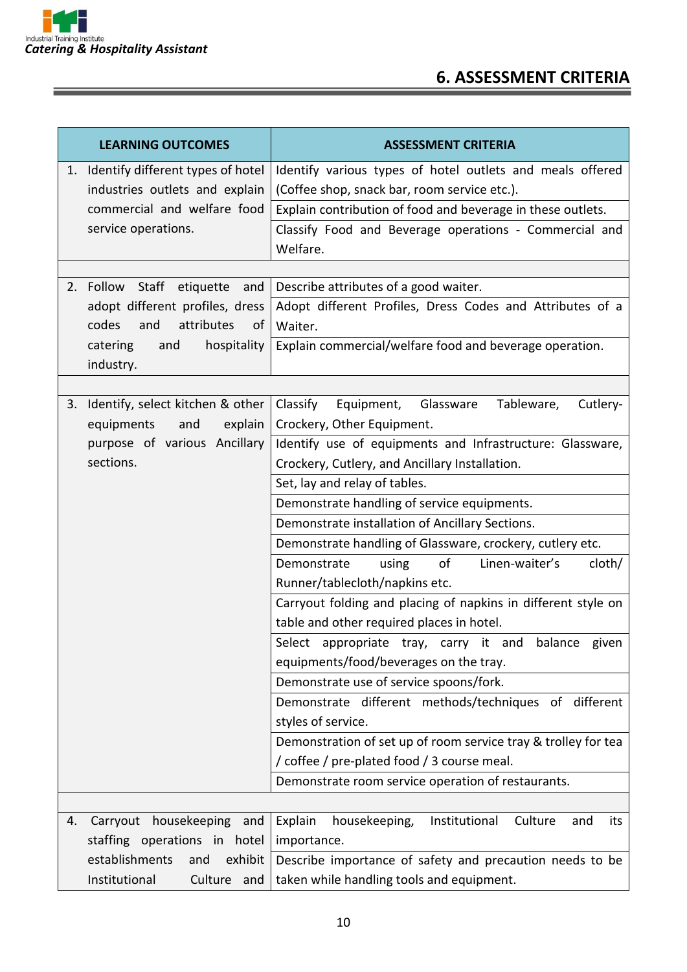

## **6. ASSESSMENT CRITERIA**

| <b>LEARNING OUTCOMES</b>                                         | <b>ASSESSMENT CRITERIA</b>                                         |  |
|------------------------------------------------------------------|--------------------------------------------------------------------|--|
| Identify different types of hotel<br>1.                          | Identify various types of hotel outlets and meals offered          |  |
| industries outlets and explain                                   | (Coffee shop, snack bar, room service etc.).                       |  |
| commercial and welfare food                                      | Explain contribution of food and beverage in these outlets.        |  |
| service operations.                                              | Classify Food and Beverage operations - Commercial and             |  |
|                                                                  | Welfare.                                                           |  |
|                                                                  |                                                                    |  |
| Follow Staff etiquette and<br>2.                                 | Describe attributes of a good waiter.                              |  |
| adopt different profiles, dress                                  | Adopt different Profiles, Dress Codes and Attributes of a          |  |
| codes<br>and<br>attributes<br>of                                 | Waiter.                                                            |  |
| catering<br>hospitality<br>and                                   | Explain commercial/welfare food and beverage operation.            |  |
| industry.                                                        |                                                                    |  |
|                                                                  |                                                                    |  |
| Identify, select kitchen & other<br>3.                           | Classify<br>Glassware<br>Equipment,<br>Tableware,<br>Cutlery-      |  |
| equipments<br>explain<br>and                                     | Crockery, Other Equipment.                                         |  |
| purpose of various Ancillary                                     | Identify use of equipments and Infrastructure: Glassware,          |  |
| sections.                                                        | Crockery, Cutlery, and Ancillary Installation.                     |  |
|                                                                  | Set, lay and relay of tables.                                      |  |
|                                                                  | Demonstrate handling of service equipments.                        |  |
|                                                                  | Demonstrate installation of Ancillary Sections.                    |  |
|                                                                  | Demonstrate handling of Glassware, crockery, cutlery etc.          |  |
|                                                                  | of<br>Linen-waiter's<br>Demonstrate<br>using<br>cloth/             |  |
|                                                                  | Runner/tablecloth/napkins etc.                                     |  |
|                                                                  | Carryout folding and placing of napkins in different style on      |  |
|                                                                  | table and other required places in hotel.                          |  |
|                                                                  | Select appropriate tray, carry it and balance given                |  |
|                                                                  | equipments/food/beverages on the tray.                             |  |
|                                                                  | Demonstrate use of service spoons/fork.                            |  |
|                                                                  | Demonstrate different methods/techniques of different              |  |
|                                                                  | styles of service.                                                 |  |
|                                                                  | Demonstration of set up of room service tray & trolley for tea     |  |
|                                                                  | / coffee / pre-plated food / 3 course meal.                        |  |
|                                                                  | Demonstrate room service operation of restaurants.                 |  |
|                                                                  |                                                                    |  |
| Carryout housekeeping and<br>4.                                  | housekeeping,<br>Explain<br>Institutional<br>Culture<br>and<br>its |  |
| staffing operations in hotel<br>establishments<br>exhibit<br>and | importance.                                                        |  |
|                                                                  | Describe importance of safety and precaution needs to be           |  |
| Institutional<br>Culture and                                     | taken while handling tools and equipment.                          |  |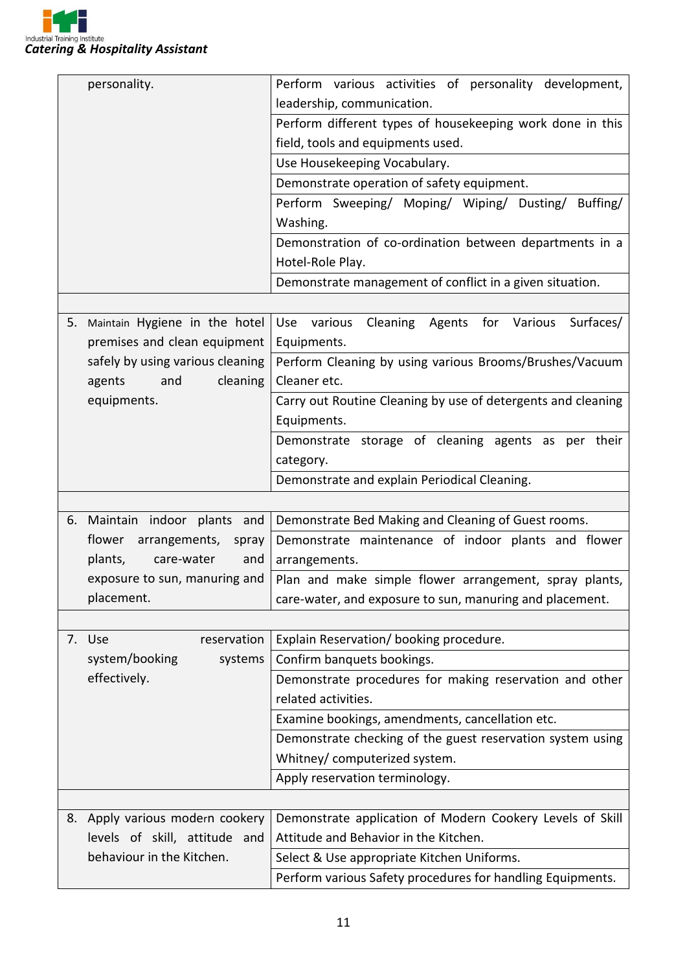

|    | personality.                                                                                 | Perform various activities of personality development,       |  |  |
|----|----------------------------------------------------------------------------------------------|--------------------------------------------------------------|--|--|
|    |                                                                                              | leadership, communication.                                   |  |  |
|    |                                                                                              | Perform different types of housekeeping work done in this    |  |  |
|    |                                                                                              | field, tools and equipments used.                            |  |  |
|    |                                                                                              | Use Housekeeping Vocabulary.                                 |  |  |
|    |                                                                                              | Demonstrate operation of safety equipment.                   |  |  |
|    |                                                                                              | Perform Sweeping/ Moping/ Wiping/ Dusting/<br>Buffing/       |  |  |
|    |                                                                                              | Washing.                                                     |  |  |
|    |                                                                                              | Demonstration of co-ordination between departments in a      |  |  |
|    |                                                                                              | Hotel-Role Play.                                             |  |  |
|    |                                                                                              | Demonstrate management of conflict in a given situation.     |  |  |
|    |                                                                                              |                                                              |  |  |
| 5. | Maintain Hygiene in the hotel                                                                | Cleaning Agents for Various<br>Surfaces/<br>Use various      |  |  |
|    | premises and clean equipment                                                                 | Equipments.                                                  |  |  |
|    | safely by using various cleaning                                                             | Perform Cleaning by using various Brooms/Brushes/Vacuum      |  |  |
|    | cleaning<br>agents<br>and                                                                    | Cleaner etc.                                                 |  |  |
|    | equipments.                                                                                  | Carry out Routine Cleaning by use of detergents and cleaning |  |  |
|    |                                                                                              | Equipments.                                                  |  |  |
|    |                                                                                              | Demonstrate storage of cleaning agents as per their          |  |  |
|    |                                                                                              | category.                                                    |  |  |
|    |                                                                                              | Demonstrate and explain Periodical Cleaning.                 |  |  |
|    |                                                                                              |                                                              |  |  |
|    | 6. Maintain indoor plants and                                                                | Demonstrate Bed Making and Cleaning of Guest rooms.          |  |  |
|    | flower<br>arrangements, spray                                                                | Demonstrate maintenance of indoor plants and flower          |  |  |
|    | plants,<br>and<br>care-water                                                                 | arrangements.                                                |  |  |
|    | exposure to sun, manuring and                                                                | Plan and make simple flower arrangement, spray plants,       |  |  |
|    | placement.                                                                                   | care-water, and exposure to sun, manuring and placement.     |  |  |
|    |                                                                                              |                                                              |  |  |
|    | 7. Use<br>reservation                                                                        | Explain Reservation/booking procedure.                       |  |  |
|    | system/booking<br>systems                                                                    | Confirm banquets bookings.                                   |  |  |
|    | effectively.                                                                                 | Demonstrate procedures for making reservation and other      |  |  |
|    |                                                                                              | related activities.                                          |  |  |
|    |                                                                                              | Examine bookings, amendments, cancellation etc.              |  |  |
|    |                                                                                              | Demonstrate checking of the guest reservation system using   |  |  |
|    |                                                                                              | Whitney/ computerized system.                                |  |  |
|    |                                                                                              | Apply reservation terminology.                               |  |  |
|    |                                                                                              |                                                              |  |  |
|    | Demonstrate application of Modern Cookery Levels of Skill<br>8. Apply various modern cookery |                                                              |  |  |
|    | levels of skill, attitude and                                                                | Attitude and Behavior in the Kitchen.                        |  |  |
|    | behaviour in the Kitchen.                                                                    | Select & Use appropriate Kitchen Uniforms.                   |  |  |
|    |                                                                                              | Perform various Safety procedures for handling Equipments.   |  |  |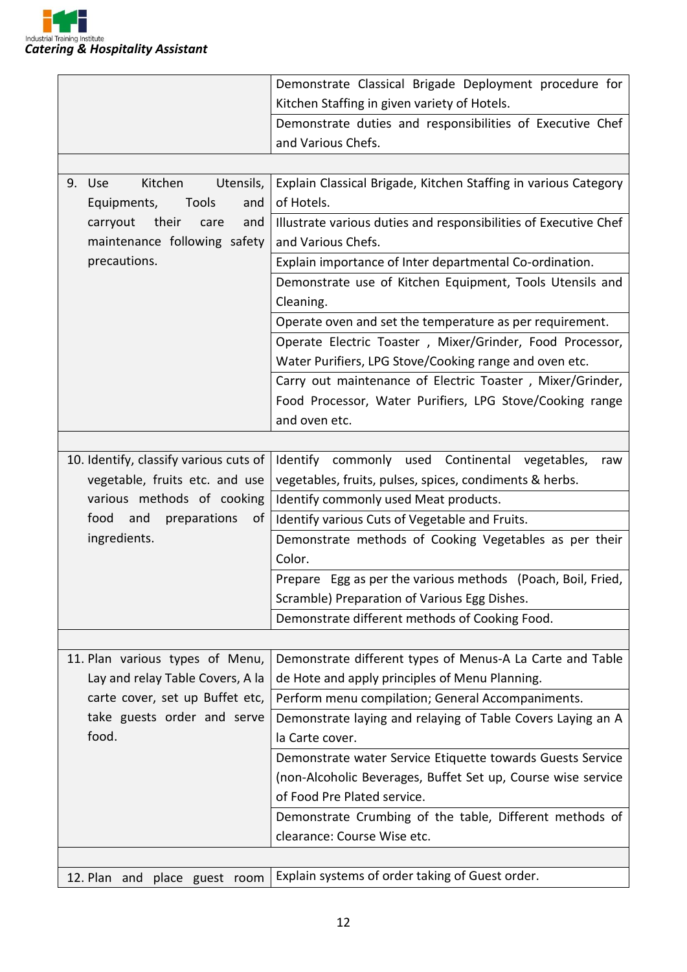

|                                                                     | Demonstrate Classical Brigade Deployment procedure for           |  |  |
|---------------------------------------------------------------------|------------------------------------------------------------------|--|--|
|                                                                     | Kitchen Staffing in given variety of Hotels.                     |  |  |
|                                                                     | Demonstrate duties and responsibilities of Executive Chef        |  |  |
|                                                                     | and Various Chefs.                                               |  |  |
|                                                                     |                                                                  |  |  |
| Utensils,<br>Kitchen<br>9. Use                                      | Explain Classical Brigade, Kitchen Staffing in various Category  |  |  |
| Tools<br>Equipments,<br>and                                         | of Hotels.                                                       |  |  |
| their<br>carryout<br>and<br>care                                    | Illustrate various duties and responsibilities of Executive Chef |  |  |
| maintenance following safety                                        | and Various Chefs.                                               |  |  |
| precautions.                                                        | Explain importance of Inter departmental Co-ordination.          |  |  |
|                                                                     | Demonstrate use of Kitchen Equipment, Tools Utensils and         |  |  |
|                                                                     | Cleaning.                                                        |  |  |
|                                                                     | Operate oven and set the temperature as per requirement.         |  |  |
|                                                                     | Operate Electric Toaster, Mixer/Grinder, Food Processor,         |  |  |
|                                                                     | Water Purifiers, LPG Stove/Cooking range and oven etc.           |  |  |
|                                                                     | Carry out maintenance of Electric Toaster, Mixer/Grinder,        |  |  |
|                                                                     | Food Processor, Water Purifiers, LPG Stove/Cooking range         |  |  |
|                                                                     | and oven etc.                                                    |  |  |
|                                                                     |                                                                  |  |  |
| 10. Identify, classify various cuts of                              | Identify commonly used Continental vegetables,<br>raw            |  |  |
| vegetable, fruits etc. and use                                      | vegetables, fruits, pulses, spices, condiments & herbs.          |  |  |
| various methods of cooking<br>Identify commonly used Meat products. |                                                                  |  |  |
| food<br>and<br>preparations<br>οf                                   | Identify various Cuts of Vegetable and Fruits.                   |  |  |
| ingredients.                                                        | Demonstrate methods of Cooking Vegetables as per their           |  |  |
|                                                                     | Color.                                                           |  |  |
|                                                                     | Prepare Egg as per the various methods (Poach, Boil, Fried,      |  |  |
|                                                                     | Scramble) Preparation of Various Egg Dishes.                     |  |  |
|                                                                     | Demonstrate different methods of Cooking Food.                   |  |  |
|                                                                     |                                                                  |  |  |
| 11. Plan various types of Menu,                                     | Demonstrate different types of Menus-A La Carte and Table        |  |  |
| Lay and relay Table Covers, A la                                    | de Hote and apply principles of Menu Planning.                   |  |  |
| carte cover, set up Buffet etc,                                     | Perform menu compilation; General Accompaniments.                |  |  |
| take guests order and serve                                         | Demonstrate laying and relaying of Table Covers Laying an A      |  |  |
| food.                                                               | la Carte cover.                                                  |  |  |
|                                                                     | Demonstrate water Service Etiquette towards Guests Service       |  |  |
|                                                                     | (non-Alcoholic Beverages, Buffet Set up, Course wise service     |  |  |
|                                                                     | of Food Pre Plated service.                                      |  |  |
|                                                                     | Demonstrate Crumbing of the table, Different methods of          |  |  |
|                                                                     | clearance: Course Wise etc.                                      |  |  |
|                                                                     |                                                                  |  |  |
| 12. Plan and place guest room                                       | Explain systems of order taking of Guest order.                  |  |  |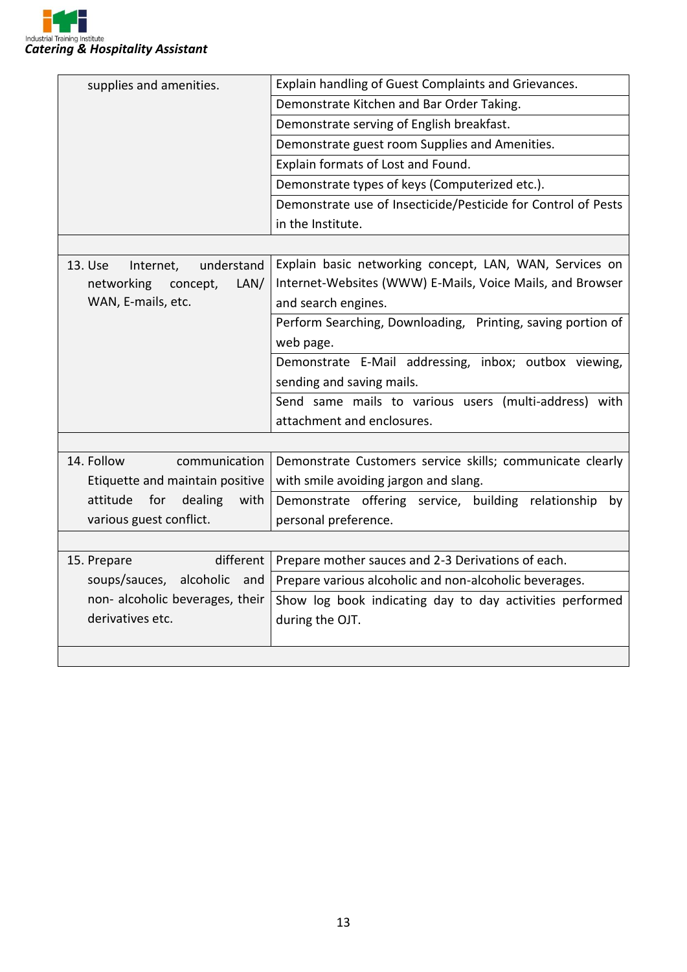

| supplies and amenities.            | Explain handling of Guest Complaints and Grievances.          |  |
|------------------------------------|---------------------------------------------------------------|--|
|                                    | Demonstrate Kitchen and Bar Order Taking.                     |  |
|                                    | Demonstrate serving of English breakfast.                     |  |
|                                    | Demonstrate guest room Supplies and Amenities.                |  |
|                                    | Explain formats of Lost and Found.                            |  |
|                                    | Demonstrate types of keys (Computerized etc.).                |  |
|                                    | Demonstrate use of Insecticide/Pesticide for Control of Pests |  |
|                                    | in the Institute.                                             |  |
|                                    |                                                               |  |
| 13. Use<br>understand<br>Internet, | Explain basic networking concept, LAN, WAN, Services on       |  |
| LAN/<br>networking<br>concept,     | Internet-Websites (WWW) E-Mails, Voice Mails, and Browser     |  |
| WAN, E-mails, etc.                 | and search engines.                                           |  |
|                                    | Perform Searching, Downloading, Printing, saving portion of   |  |
|                                    | web page.                                                     |  |
|                                    | Demonstrate E-Mail addressing, inbox; outbox viewing,         |  |
|                                    | sending and saving mails.                                     |  |
|                                    | Send same mails to various users (multi-address) with         |  |
|                                    | attachment and enclosures.                                    |  |
|                                    |                                                               |  |
| 14. Follow<br>communication        | Demonstrate Customers service skills; communicate clearly     |  |
| Etiquette and maintain positive    | with smile avoiding jargon and slang.                         |  |
| attitude<br>for<br>dealing<br>with | Demonstrate offering service, building relationship<br>by     |  |
| various guest conflict.            | personal preference.                                          |  |
|                                    |                                                               |  |
| different  <br>15. Prepare         | Prepare mother sauces and 2-3 Derivations of each.            |  |
| soups/sauces, alcoholic and        | Prepare various alcoholic and non-alcoholic beverages.        |  |
| non- alcoholic beverages, their    | Show log book indicating day to day activities performed      |  |
| derivatives etc.                   | during the OJT.                                               |  |
|                                    |                                                               |  |
|                                    |                                                               |  |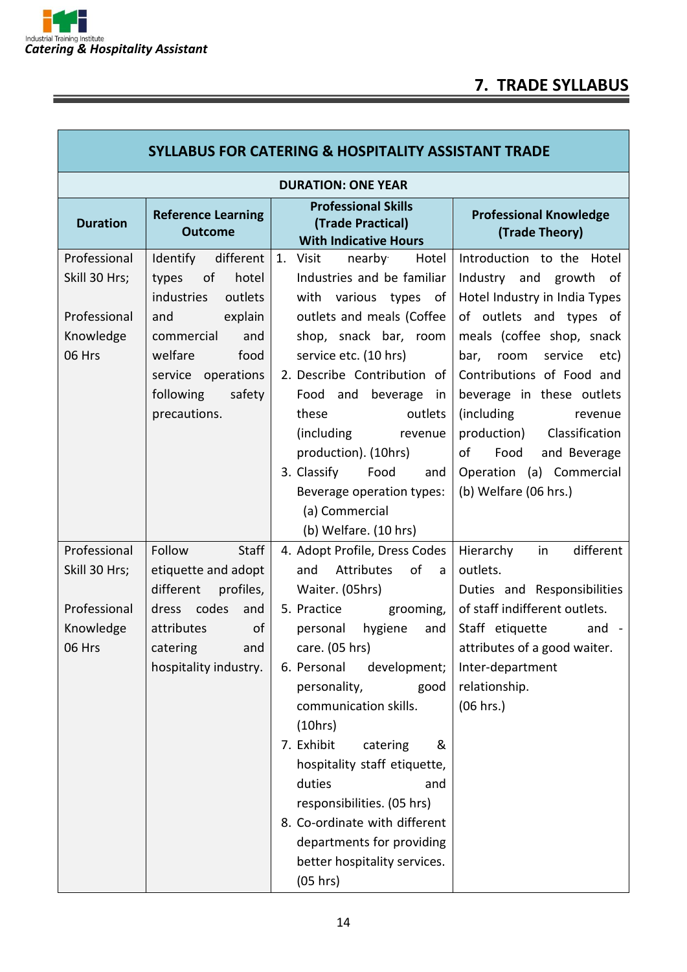T

ī

| <b>SYLLABUS FOR CATERING &amp; HOSPITALITY ASSISTANT TRADE</b>       |                                                                                                                                                                                               |                                                                                                                                                                                                                                                                                                                                                                                                                                                                                |                                                                                                                                                                                                                                                                                                                                                                                  |  |
|----------------------------------------------------------------------|-----------------------------------------------------------------------------------------------------------------------------------------------------------------------------------------------|--------------------------------------------------------------------------------------------------------------------------------------------------------------------------------------------------------------------------------------------------------------------------------------------------------------------------------------------------------------------------------------------------------------------------------------------------------------------------------|----------------------------------------------------------------------------------------------------------------------------------------------------------------------------------------------------------------------------------------------------------------------------------------------------------------------------------------------------------------------------------|--|
| <b>DURATION: ONE YEAR</b>                                            |                                                                                                                                                                                               |                                                                                                                                                                                                                                                                                                                                                                                                                                                                                |                                                                                                                                                                                                                                                                                                                                                                                  |  |
| <b>Duration</b>                                                      | <b>Reference Learning</b><br><b>Outcome</b>                                                                                                                                                   | <b>Professional Skills</b><br>(Trade Practical)<br><b>With Indicative Hours</b>                                                                                                                                                                                                                                                                                                                                                                                                | <b>Professional Knowledge</b><br>(Trade Theory)                                                                                                                                                                                                                                                                                                                                  |  |
| Professional<br>Skill 30 Hrs;<br>Professional<br>Knowledge<br>06 Hrs | Identify<br>different<br>types<br>of<br>hotel<br>industries<br>outlets<br>and<br>explain<br>commercial<br>and<br>welfare<br>food<br>service operations<br>following<br>safety<br>precautions. | nearby<br>1.<br>Visit<br>Hotel<br>Industries and be familiar<br>with various types of<br>outlets and meals (Coffee<br>shop, snack bar, room<br>service etc. (10 hrs)<br>2. Describe Contribution of<br>Food and beverage<br>in<br>these<br>outlets<br>(including)<br>revenue<br>production). (10hrs)<br>3. Classify<br>Food<br>and<br>Beverage operation types:<br>(a) Commercial<br>(b) Welfare. (10 hrs)                                                                     | Introduction to the Hotel<br>Industry and growth of<br>Hotel Industry in India Types<br>of outlets and types of<br>meals (coffee shop, snack<br>bar, room<br>service<br>etc)<br>Contributions of Food and<br>beverage in these outlets<br>(including<br>revenue<br>production) Classification<br>of<br>Food<br>and Beverage<br>Operation (a) Commercial<br>(b) Welfare (06 hrs.) |  |
| Professional<br>Skill 30 Hrs;<br>Professional<br>Knowledge<br>06 Hrs | Staff<br>Follow<br>etiquette and adopt<br>different<br>profiles,<br>dress codes<br>and<br>attributes<br>of<br>catering<br>and<br>hospitality industry.                                        | 4. Adopt Profile, Dress Codes<br>Attributes<br>of<br>and<br>a a<br>Waiter. (05hrs)<br>5. Practice grooming,<br>hygiene<br>personal<br>and<br>care. (05 hrs)<br>development;<br>6. Personal<br>personality,<br>good<br>communication skills.<br>(10hrs)<br>7. Exhibit<br>catering<br>&<br>hospitality staff etiquette,<br>duties<br>and<br>responsibilities. (05 hrs)<br>8. Co-ordinate with different<br>departments for providing<br>better hospitality services.<br>(05 hrs) | Hierarchy<br>different<br>in<br>outlets.<br>Duties and Responsibilities<br>of staff indifferent outlets.<br>Staff etiquette<br>and $-$<br>attributes of a good waiter.<br>Inter-department<br>relationship.<br>(06 hrs.)                                                                                                                                                         |  |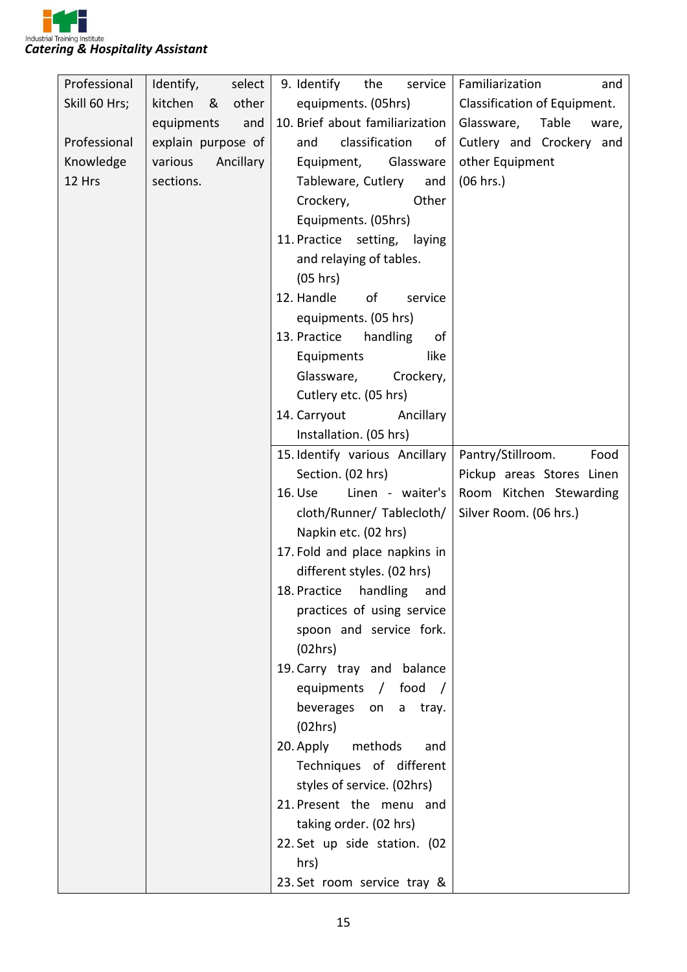

| Professional  | Identify,<br>select   | 9. Identify<br>the<br>service                    | Familiarization<br>and                            |
|---------------|-----------------------|--------------------------------------------------|---------------------------------------------------|
| Skill 60 Hrs; | kitchen<br>other<br>& | equipments. (05hrs)                              | Classification of Equipment.                      |
|               | equipments<br>and     | 10. Brief about familiarization                  | Glassware,<br>Table<br>ware,                      |
| Professional  | explain purpose of    | classification<br>and<br>of                      | Cutlery and Crockery and                          |
| Knowledge     | Ancillary<br>various  | Equipment,<br>Glassware                          | other Equipment                                   |
| 12 Hrs        | sections.             | Tableware, Cutlery<br>and                        | (06 hrs.)                                         |
|               |                       | Crockery,<br>Other                               |                                                   |
|               |                       | Equipments. (05hrs)                              |                                                   |
|               |                       | 11. Practice setting, laying                     |                                                   |
|               |                       | and relaying of tables.                          |                                                   |
|               |                       | (05 hrs)                                         |                                                   |
|               |                       | 12. Handle<br>of<br>service                      |                                                   |
|               |                       | equipments. (05 hrs)                             |                                                   |
|               |                       | 13. Practice<br>handling<br>of                   |                                                   |
|               |                       | like<br>Equipments                               |                                                   |
|               |                       | Glassware,<br>Crockery,                          |                                                   |
|               |                       | Cutlery etc. (05 hrs)                            |                                                   |
|               |                       | 14. Carryout<br>Ancillary                        |                                                   |
|               |                       | Installation. (05 hrs)                           |                                                   |
|               |                       | 15. Identify various Ancillary                   | Pantry/Stillroom.<br>Food                         |
|               |                       | Section. (02 hrs)<br>Linen - waiter's<br>16. Use | Pickup areas Stores Linen                         |
|               |                       | cloth/Runner/ Tablecloth/                        | Room Kitchen Stewarding<br>Silver Room. (06 hrs.) |
|               |                       | Napkin etc. (02 hrs)                             |                                                   |
|               |                       | 17. Fold and place napkins in                    |                                                   |
|               |                       | different styles. (02 hrs)                       |                                                   |
|               |                       | 18. Practice handling and                        |                                                   |
|               |                       | practices of using service                       |                                                   |
|               |                       | spoon and service fork.                          |                                                   |
|               |                       | (02hrs)                                          |                                                   |
|               |                       | 19. Carry tray and balance                       |                                                   |
|               |                       | equipments / food /                              |                                                   |
|               |                       | beverages on<br>tray.<br>a a                     |                                                   |
|               |                       | (02hrs)                                          |                                                   |
|               |                       | 20. Apply<br>methods<br>and                      |                                                   |
|               |                       | Techniques of different                          |                                                   |
|               |                       | styles of service. (02hrs)                       |                                                   |
|               |                       | 21. Present the menu and                         |                                                   |
|               |                       | taking order. (02 hrs)                           |                                                   |
|               |                       | 22. Set up side station. (02                     |                                                   |
|               |                       | hrs)                                             |                                                   |
|               |                       | 23. Set room service tray &                      |                                                   |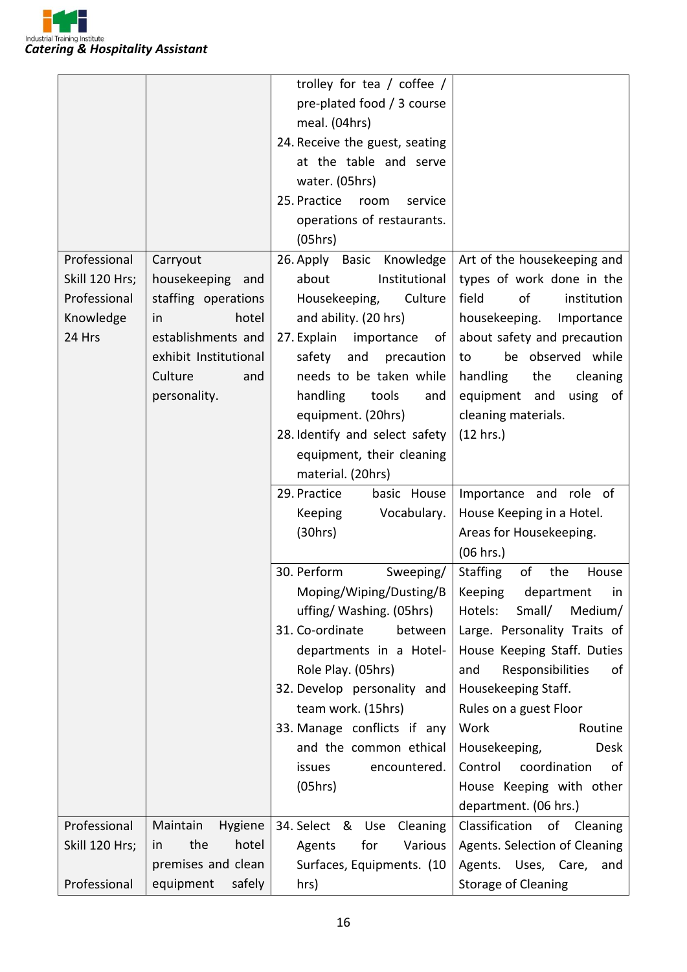

|                |                           | trolley for tea / coffee /                          |                                                       |
|----------------|---------------------------|-----------------------------------------------------|-------------------------------------------------------|
|                |                           | pre-plated food / 3 course                          |                                                       |
|                |                           | meal. (04hrs)                                       |                                                       |
|                |                           | 24. Receive the guest, seating                      |                                                       |
|                |                           | at the table and serve                              |                                                       |
|                |                           | water. (05hrs)                                      |                                                       |
|                |                           | 25. Practice<br>room<br>service                     |                                                       |
|                |                           | operations of restaurants.                          |                                                       |
|                |                           | (05hrs)                                             |                                                       |
| Professional   | Carryout                  | 26. Apply Basic Knowledge                           | Art of the housekeeping and                           |
| Skill 120 Hrs; | housekeeping and          | Institutional<br>about                              | types of work done in the                             |
| Professional   | staffing operations       | Housekeeping,<br>Culture                            | field<br>of<br>institution                            |
| Knowledge      | hotel<br>in               | and ability. (20 hrs)                               | housekeeping.<br>Importance                           |
| 24 Hrs         | establishments and        | 27. Explain<br>importance<br>of                     | about safety and precaution                           |
|                | exhibit Institutional     | safety<br>and<br>precaution                         | be observed while<br>to                               |
|                | Culture<br>and            | needs to be taken while                             | handling<br>the<br>cleaning                           |
|                | personality.              | handling<br>tools<br>and                            | equipment and<br>using of                             |
|                |                           | equipment. (20hrs)                                  | cleaning materials.                                   |
|                |                           | 28. Identify and select safety                      | (12 hrs.)                                             |
|                |                           | equipment, their cleaning                           |                                                       |
|                |                           | material. (20hrs)                                   |                                                       |
|                |                           | 29. Practice<br>basic House                         | Importance and role of                                |
|                |                           | Vocabulary.<br>Keeping                              | House Keeping in a Hotel.                             |
|                |                           |                                                     |                                                       |
|                |                           |                                                     |                                                       |
|                |                           | (30hrs)                                             | Areas for Housekeeping.<br>(06 hrs.)                  |
|                |                           | 30. Perform                                         | of<br>the<br>House                                    |
|                |                           | Sweeping/                                           | Staffing<br>in                                        |
|                |                           | Moping/Wiping/Dusting/B<br>uffing/ Washing. (05hrs) | Keeping<br>department<br>Small/<br>Hotels:<br>Medium/ |
|                |                           | 31. Co-ordinate<br>between                          | Large. Personality Traits of                          |
|                |                           | departments in a Hotel-                             | House Keeping Staff. Duties                           |
|                |                           | Role Play. (05hrs)                                  | Responsibilities<br>and<br>of                         |
|                |                           | 32. Develop personality and                         | Housekeeping Staff.                                   |
|                |                           | team work. (15hrs)                                  | Rules on a guest Floor                                |
|                |                           | 33. Manage conflicts if any                         | Work<br>Routine                                       |
|                |                           | and the common ethical                              | Housekeeping,<br>Desk                                 |
|                |                           | encountered.<br>issues                              | Control<br>coordination<br>οf                         |
|                |                           | (05hrs)                                             | House Keeping with other                              |
|                |                           |                                                     | department. (06 hrs.)                                 |
| Professional   | Maintain<br>Hygiene       | 34. Select & Use<br>Cleaning                        | Classification of Cleaning                            |
| Skill 120 Hrs; | the<br>hotel<br><i>in</i> | Various<br>Agents<br>for                            | Agents. Selection of Cleaning                         |
|                | premises and clean        | Surfaces, Equipments. (10                           | Agents. Uses, Care,<br>and                            |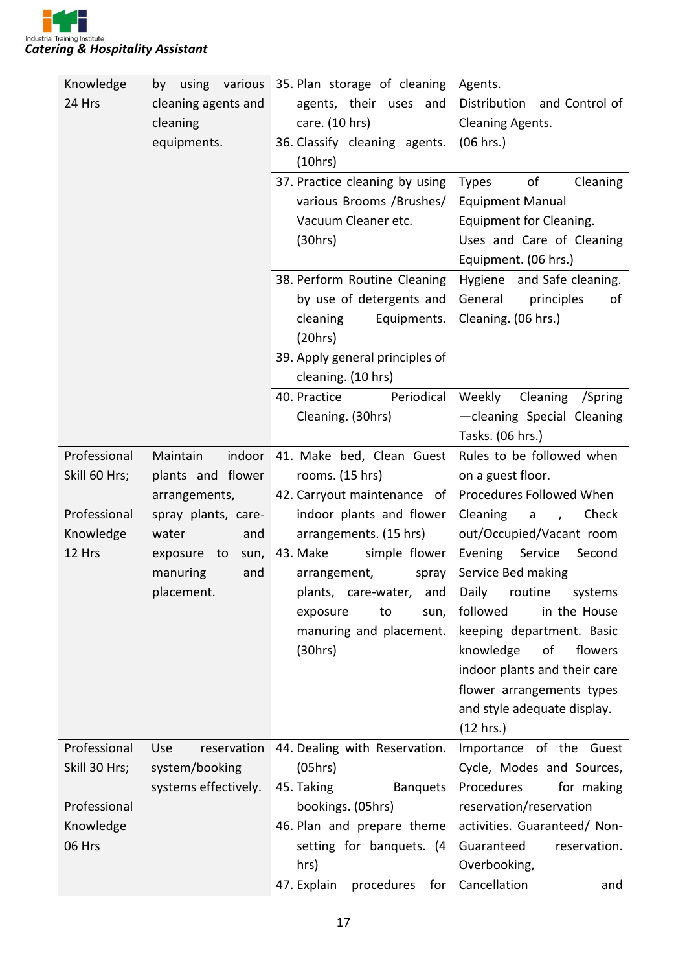

| Knowledge     | by using various     | 35. Plan storage of cleaning     | Agents.                                 |
|---------------|----------------------|----------------------------------|-----------------------------------------|
| 24 Hrs        | cleaning agents and  | agents, their uses and           | Distribution and Control of             |
|               | cleaning             | care. (10 hrs)                   | <b>Cleaning Agents.</b>                 |
|               | equipments.          | 36. Classify cleaning agents.    | (06 hrs.)                               |
|               |                      | (10hrs)                          |                                         |
|               |                      | 37. Practice cleaning by using   | of<br><b>Types</b><br>Cleaning          |
|               |                      | various Brooms / Brushes/        | <b>Equipment Manual</b>                 |
|               |                      | Vacuum Cleaner etc.              | Equipment for Cleaning.                 |
|               |                      | (30hrs)                          | Uses and Care of Cleaning               |
|               |                      |                                  | Equipment. (06 hrs.)                    |
|               |                      | 38. Perform Routine Cleaning     | Hygiene and Safe cleaning.              |
|               |                      | by use of detergents and         | General<br>principles<br>of             |
|               |                      | cleaning<br>Equipments.          | Cleaning. (06 hrs.)                     |
|               |                      | (20 hrs)                         |                                         |
|               |                      | 39. Apply general principles of  |                                         |
|               |                      | cleaning. (10 hrs)               |                                         |
|               |                      | 40. Practice<br>Periodical       | Weekly Cleaning /Spring                 |
|               |                      | Cleaning. (30hrs)                | -cleaning Special Cleaning              |
|               |                      |                                  | Tasks. (06 hrs.)                        |
| Professional  | Maintain<br>indoor   | 41. Make bed, Clean Guest        | Rules to be followed when               |
| Skill 60 Hrs; | plants and flower    | rooms. (15 hrs)                  | on a guest floor.                       |
|               | arrangements,        | 42. Carryout maintenance of      | Procedures Followed When                |
| Professional  | spray plants, care-  | indoor plants and flower         | Cleaning<br>Check<br>a<br>$\mathcal{L}$ |
| Knowledge     | water<br>and         | arrangements. (15 hrs)           | out/Occupied/Vacant room                |
| 12 Hrs        | exposure to<br>sun,  | simple flower<br>43. Make        | Evening Service<br>Second               |
|               | manuring<br>and      | arrangement,<br>spray            | Service Bed making                      |
|               | placement.           | plants, care-water, and          | Daily routine systems                   |
|               |                      | exposure<br>to<br>sun,           | followed<br>in the House                |
|               |                      | manuring and placement.          | keeping department. Basic               |
|               |                      | (30hrs)                          | knowledge<br>of<br>flowers              |
|               |                      |                                  | indoor plants and their care            |
|               |                      |                                  | flower arrangements types               |
|               |                      |                                  | and style adequate display.             |
|               |                      |                                  | (12 hrs.)                               |
| Professional  | reservation<br>Use   | 44. Dealing with Reservation.    | Importance of the Guest                 |
| Skill 30 Hrs; | system/booking       | (05hrs)                          | Cycle, Modes and Sources,               |
|               | systems effectively. | 45. Taking<br><b>Banquets</b>    | Procedures<br>for making                |
| Professional  |                      | bookings. (05hrs)                | reservation/reservation                 |
| Knowledge     |                      | 46. Plan and prepare theme       | activities. Guaranteed/ Non-            |
| 06 Hrs        |                      | setting for banquets. (4         | Guaranteed<br>reservation.              |
|               |                      | hrs)                             | Overbooking,                            |
|               |                      | 47. Explain<br>procedures<br>for | Cancellation<br>and                     |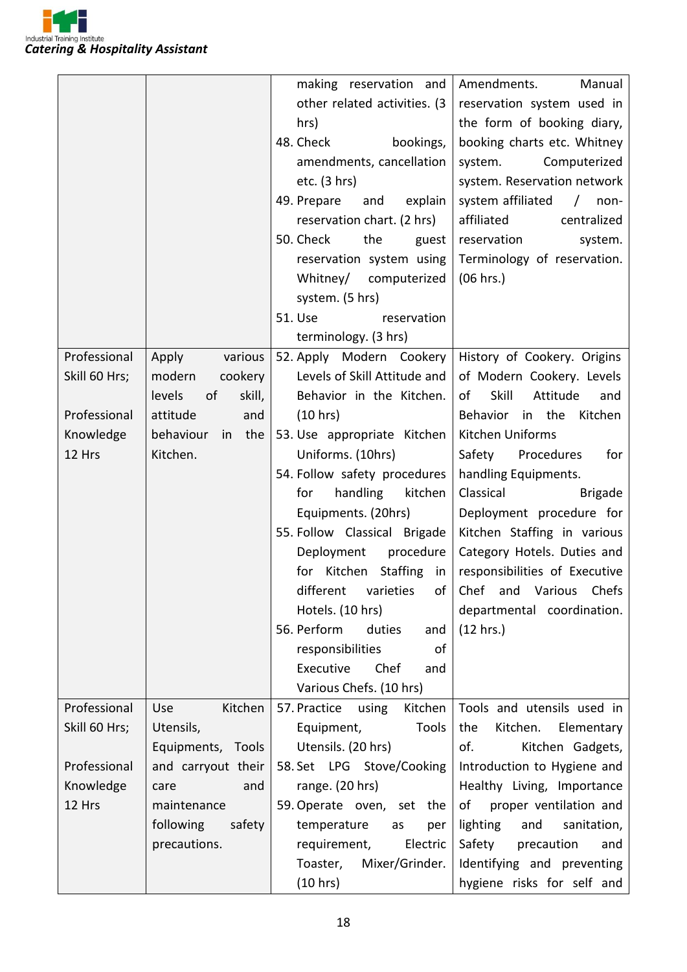

|               |                        | making reservation and                                  | Amendments.<br>Manual                                 |
|---------------|------------------------|---------------------------------------------------------|-------------------------------------------------------|
|               |                        | other related activities. (3                            | reservation system used in                            |
|               |                        | hrs)                                                    | the form of booking diary,                            |
|               |                        | 48. Check<br>bookings,                                  | booking charts etc. Whitney                           |
|               |                        | amendments, cancellation                                | system.<br>Computerized                               |
|               |                        | etc. $(3 hr)$                                           | system. Reservation network                           |
|               |                        | 49. Prepare<br>and<br>explain                           | system affiliated<br>$\sqrt{2}$<br>non-               |
|               |                        | reservation chart. (2 hrs)                              | affiliated<br>centralized                             |
|               |                        | 50. Check<br>the<br>guest                               | reservation<br>system.                                |
|               |                        | reservation system using                                | Terminology of reservation.                           |
|               |                        | Whitney/ computerized                                   | (06 hrs.)                                             |
|               |                        | system. (5 hrs)                                         |                                                       |
|               |                        | 51. Use<br>reservation                                  |                                                       |
|               |                        | terminology. (3 hrs)                                    |                                                       |
| Professional  | Apply<br>various       | 52. Apply Modern Cookery                                | History of Cookery. Origins                           |
| Skill 60 Hrs; | modern<br>cookery      | Levels of Skill Attitude and                            | of Modern Cookery. Levels                             |
|               | levels<br>of<br>skill, | Behavior in the Kitchen.                                | Skill<br>of<br>Attitude<br>and                        |
| Professional  | attitude<br>and        | (10 hrs)                                                | Behavior in the Kitchen                               |
| Knowledge     | behaviour<br>the<br>in | 53. Use appropriate Kitchen                             | Kitchen Uniforms                                      |
| 12 Hrs        | Kitchen.               | Uniforms. (10hrs)                                       | Safety Procedures<br>for                              |
|               |                        | 54. Follow safety procedures                            | handling Equipments.                                  |
|               |                        | handling<br>kitchen<br>for                              | Classical<br><b>Brigade</b>                           |
|               |                        | Equipments. (20hrs)                                     | Deployment procedure for                              |
|               |                        | 55. Follow Classical Brigade                            | Kitchen Staffing in various                           |
|               |                        | Deployment<br>procedure                                 | Category Hotels. Duties and                           |
|               |                        |                                                         | for Kitchen Staffing in responsibilities of Executive |
|               |                        |                                                         | different varieties of Chef and Various Chefs         |
|               |                        | Hotels. (10 hrs)                                        | departmental coordination.                            |
|               |                        | 56. Perform<br>duties<br>and                            | (12 hrs.)                                             |
|               |                        | responsibilities<br>οf                                  |                                                       |
|               |                        | Chef<br>Executive<br>and                                |                                                       |
|               |                        | Various Chefs. (10 hrs)                                 |                                                       |
| Professional  | Use<br>Kitchen         | 57. Practice using Kitchen   Tools and utensils used in |                                                       |
| Skill 60 Hrs; | Utensils,              | Tools<br>Equipment,                                     | Kitchen.<br>Elementary<br>the                         |
|               | Equipments, Tools      | Utensils. (20 hrs)                                      | of.<br>Kitchen Gadgets,                               |
| Professional  | and carryout their     | 58. Set LPG Stove/Cooking                               | Introduction to Hygiene and                           |
| Knowledge     | and<br>care            | range. (20 hrs)                                         | Healthy Living, Importance                            |
| 12 Hrs        | maintenance            | 59. Operate oven, set the                               | of proper ventilation and                             |
|               | following<br>safety    | temperature<br>as<br>per                                | lighting<br>and<br>sanitation,                        |
|               | precautions.           | Electric<br>requirement,                                | Safety<br>precaution<br>and                           |
|               |                        | Mixer/Grinder.<br>Toaster,                              | Identifying and preventing                            |
|               |                        | (10 hrs)                                                | hygiene risks for self and                            |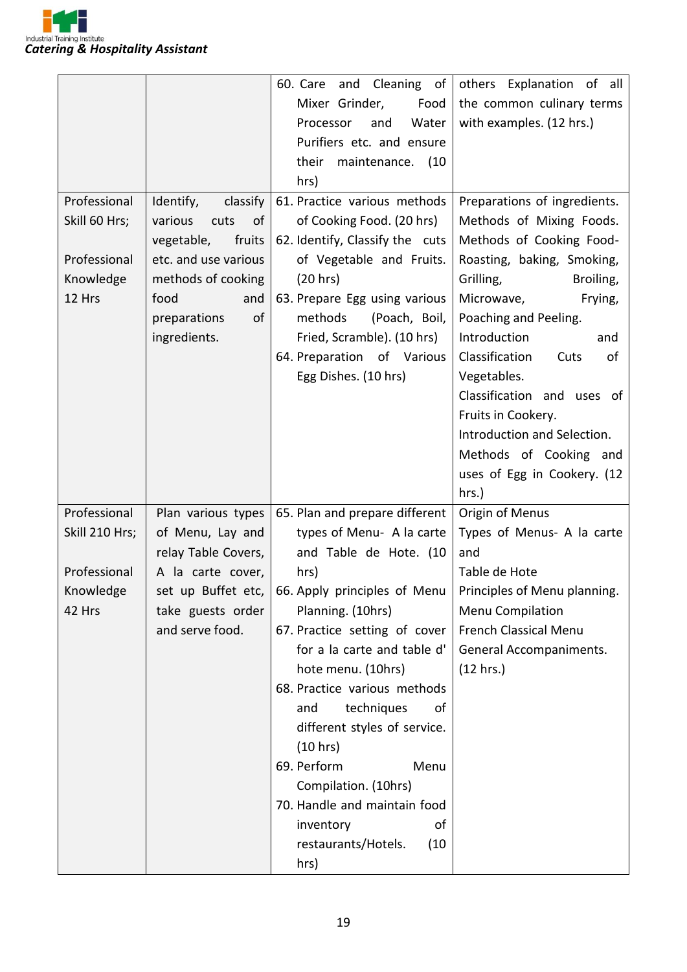

|                     |                                      | and Cleaning of<br>60. Care                                                            | others Explanation of all    |
|---------------------|--------------------------------------|----------------------------------------------------------------------------------------|------------------------------|
|                     |                                      | Mixer Grinder,<br>Food                                                                 | the common culinary terms    |
|                     |                                      | Water<br>Processor<br>and                                                              | with examples. (12 hrs.)     |
|                     |                                      | Purifiers etc. and ensure                                                              |                              |
|                     |                                      | their<br>maintenance. (10                                                              |                              |
|                     |                                      | hrs)                                                                                   |                              |
| Professional        | Identify,<br>classify                | 61. Practice various methods                                                           | Preparations of ingredients. |
| Skill 60 Hrs;       | various<br>cuts<br>of                | of Cooking Food. (20 hrs)                                                              | Methods of Mixing Foods.     |
|                     | vegetable,<br>fruits                 | 62. Identify, Classify the cuts                                                        | Methods of Cooking Food-     |
| Professional        | etc. and use various                 | of Vegetable and Fruits.                                                               | Roasting, baking, Smoking,   |
| Knowledge           | methods of cooking                   | (20 hrs)                                                                               | Grilling,<br>Broiling,       |
| 12 Hrs              | food<br>and                          | 63. Prepare Egg using various                                                          | Microwave,<br>Frying,        |
|                     | of<br>preparations                   | methods<br>(Poach, Boil,                                                               | Poaching and Peeling.        |
|                     | ingredients.                         | Fried, Scramble). (10 hrs)                                                             | Introduction<br>and          |
|                     |                                      | 64. Preparation of Various                                                             | Classification<br>Cuts<br>of |
|                     |                                      | Egg Dishes. (10 hrs)                                                                   | Vegetables.                  |
|                     |                                      |                                                                                        | Classification and uses of   |
|                     |                                      |                                                                                        | Fruits in Cookery.           |
|                     |                                      |                                                                                        | Introduction and Selection.  |
|                     |                                      |                                                                                        | Methods of Cooking and       |
|                     |                                      |                                                                                        | uses of Egg in Cookery. (12  |
|                     |                                      |                                                                                        | hrs.)                        |
| Professional        | Plan various types                   | 65. Plan and prepare different                                                         | Origin of Menus              |
| Skill 210 Hrs;      | of Menu, Lay and                     | types of Menu- A la carte                                                              | Types of Menus- A la carte   |
|                     | relay Table Covers,                  | and Table de Hote. (10                                                                 | and                          |
| Professional        |                                      |                                                                                        | Table de Hote                |
|                     | A la carte cover,                    | hrs)<br>set up Buffet etc, 66. Apply principles of Menu   Principles of Menu planning. |                              |
| Knowledge<br>42 Hrs |                                      | Planning. (10hrs)                                                                      | Menu Compilation             |
|                     | take guests order<br>and serve food. |                                                                                        | <b>French Classical Menu</b> |
|                     |                                      | 67. Practice setting of cover                                                          |                              |
|                     |                                      | for a la carte and table d'                                                            | General Accompaniments.      |
|                     |                                      | hote menu. (10hrs)                                                                     | (12 hrs.)                    |
|                     |                                      | 68. Practice various methods                                                           |                              |
|                     |                                      | techniques<br>and<br>οf                                                                |                              |
|                     |                                      | different styles of service.                                                           |                              |
|                     |                                      | (10 hrs)                                                                               |                              |
|                     |                                      | 69. Perform<br>Menu                                                                    |                              |
|                     |                                      | Compilation. (10hrs)                                                                   |                              |
|                     |                                      | 70. Handle and maintain food                                                           |                              |
|                     |                                      | inventory<br>οf                                                                        |                              |
|                     |                                      | restaurants/Hotels.<br>(10)                                                            |                              |
|                     |                                      | hrs)                                                                                   |                              |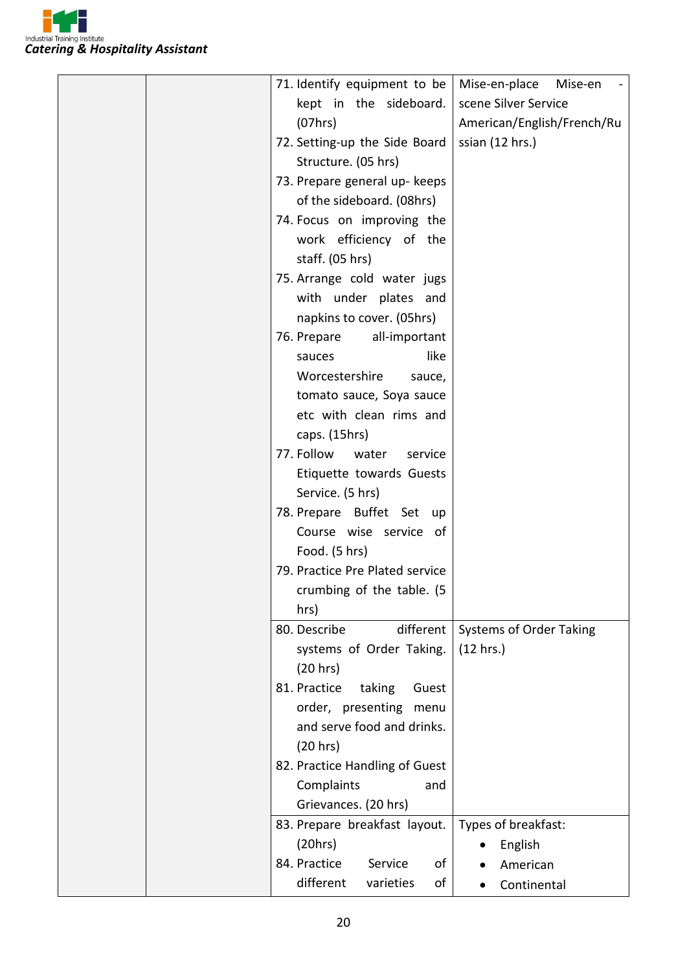

|  | 71. Identify equipment to be    | Mise-en-place<br>Mise-en       |
|--|---------------------------------|--------------------------------|
|  | kept in the sideboard.          | scene Silver Service           |
|  | (07hrs)                         | American/English/French/Ru     |
|  | 72. Setting-up the Side Board   | ssian (12 hrs.)                |
|  | Structure. (05 hrs)             |                                |
|  | 73. Prepare general up- keeps   |                                |
|  | of the sideboard. (08hrs)       |                                |
|  | 74. Focus on improving the      |                                |
|  | work efficiency of the          |                                |
|  | staff. (05 hrs)                 |                                |
|  | 75. Arrange cold water jugs     |                                |
|  | with under plates and           |                                |
|  | napkins to cover. (05hrs)       |                                |
|  | 76. Prepare<br>all-important    |                                |
|  | like<br>sauces                  |                                |
|  | Worcestershire<br>sauce,        |                                |
|  | tomato sauce, Soya sauce        |                                |
|  | etc with clean rims and         |                                |
|  | caps. (15hrs)                   |                                |
|  | 77. Follow<br>water<br>service  |                                |
|  | Etiquette towards Guests        |                                |
|  | Service. (5 hrs)                |                                |
|  | 78. Prepare Buffet Set up       |                                |
|  | Course wise service of          |                                |
|  | Food. (5 hrs)                   |                                |
|  | 79. Practice Pre Plated service |                                |
|  | crumbing of the table. (5       |                                |
|  | hrs)                            |                                |
|  | 80. Describe<br>different       | <b>Systems of Order Taking</b> |
|  | systems of Order Taking.        | (12 hrs.)                      |
|  | (20 hrs)                        |                                |
|  | 81. Practice<br>taking<br>Guest |                                |
|  | order, presenting menu          |                                |
|  | and serve food and drinks.      |                                |
|  | (20 hrs)                        |                                |
|  | 82. Practice Handling of Guest  |                                |
|  | Complaints<br>and               |                                |
|  | Grievances. (20 hrs)            |                                |
|  | 83. Prepare breakfast layout.   | Types of breakfast:            |
|  | (20 hrs)                        | English                        |
|  | 84. Practice<br>Service<br>of   | American                       |
|  | different<br>varieties<br>of    | Continental<br>$\bullet$       |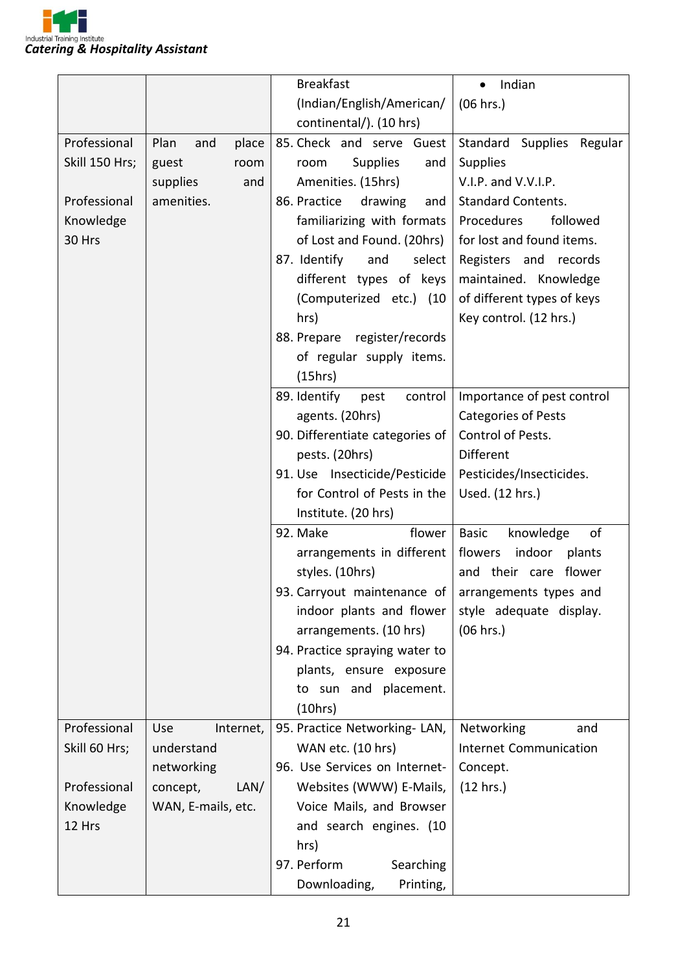

|                |                      | <b>Breakfast</b>                                       | Indian<br>$\bullet$             |
|----------------|----------------------|--------------------------------------------------------|---------------------------------|
|                |                      | (Indian/English/American/                              | (06 hrs.)                       |
|                |                      | continental/). (10 hrs)                                |                                 |
| Professional   | Plan<br>place<br>and | 85. Check and serve Guest                              | Standard Supplies Regular       |
| Skill 150 Hrs; | guest<br>room        | <b>Supplies</b><br>room<br>and                         | <b>Supplies</b>                 |
|                | supplies<br>and      | Amenities. (15hrs)                                     | V.I.P. and V.V.I.P.             |
| Professional   | amenities.           | 86. Practice<br>drawing<br>and                         | <b>Standard Contents.</b>       |
| Knowledge      |                      | familiarizing with formats                             | Procedures<br>followed          |
| 30 Hrs         |                      | of Lost and Found. (20hrs)                             | for lost and found items.       |
|                |                      | 87. Identify<br>and<br>select                          | Registers and records           |
|                |                      | different types of keys                                | maintained. Knowledge           |
|                |                      | (Computerized etc.) (10                                | of different types of keys      |
|                |                      | hrs)                                                   | Key control. (12 hrs.)          |
|                |                      | 88. Prepare register/records                           |                                 |
|                |                      | of regular supply items.                               |                                 |
|                |                      | (15hrs)                                                |                                 |
|                |                      | 89. Identify<br>control<br>pest                        | Importance of pest control      |
|                |                      | agents. (20hrs)                                        | <b>Categories of Pests</b>      |
|                |                      | 90. Differentiate categories of                        | Control of Pests.               |
|                |                      | pests. (20hrs)                                         | Different                       |
|                |                      | 91. Use Insecticide/Pesticide                          | Pesticides/Insecticides.        |
|                |                      | for Control of Pests in the                            | Used. (12 hrs.)                 |
|                |                      | Institute. (20 hrs)                                    |                                 |
|                |                      | 92. Make                                               |                                 |
|                |                      | flower                                                 | of<br><b>Basic</b><br>knowledge |
|                |                      | arrangements in different                              | flowers<br>indoor<br>plants     |
|                |                      | styles. (10hrs)                                        | and their care flower           |
|                |                      | 93. Carryout maintenance of $ $ arrangements types and |                                 |
|                |                      | indoor plants and flower                               | style adequate display.         |
|                |                      | arrangements. (10 hrs)                                 | (06 hrs.)                       |
|                |                      | 94. Practice spraying water to                         |                                 |
|                |                      | plants, ensure exposure                                |                                 |
|                |                      | to sun and placement.                                  |                                 |
|                |                      | (10 hrs)                                               |                                 |
| Professional   | Internet,<br>Use     | 95. Practice Networking-LAN,                           | Networking<br>and               |
| Skill 60 Hrs;  | understand           | WAN etc. (10 hrs)                                      | <b>Internet Communication</b>   |
|                | networking           | 96. Use Services on Internet-                          | Concept.                        |
| Professional   | concept,<br>LAN/     | Websites (WWW) E-Mails,                                | (12 hrs.)                       |
| Knowledge      | WAN, E-mails, etc.   | Voice Mails, and Browser                               |                                 |
| 12 Hrs         |                      | and search engines. (10                                |                                 |
|                |                      | hrs)                                                   |                                 |
|                |                      | 97. Perform<br>Searching                               |                                 |
|                |                      | Downloading,<br>Printing,                              |                                 |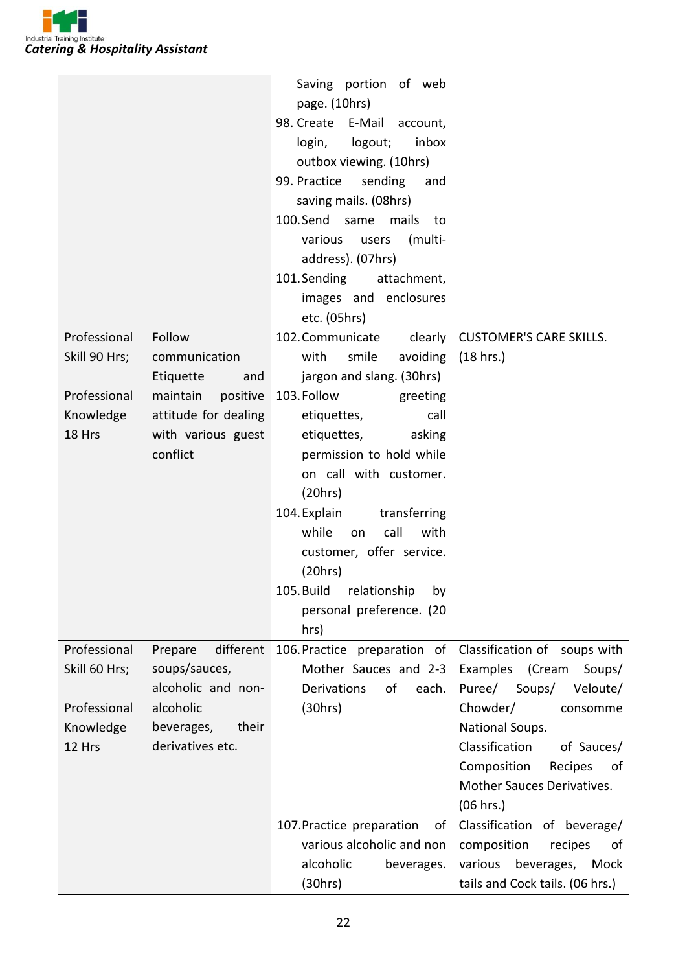

|               |                      | Saving portion of web           |                                 |
|---------------|----------------------|---------------------------------|---------------------------------|
|               |                      | page. (10hrs)                   |                                 |
|               |                      | 98. Create E-Mail account,      |                                 |
|               |                      | login,<br>logout;<br>inbox      |                                 |
|               |                      | outbox viewing. (10hrs)         |                                 |
|               |                      | 99. Practice<br>sending<br>and  |                                 |
|               |                      | saving mails. (08hrs)           |                                 |
|               |                      | 100.Send same<br>mails<br>to    |                                 |
|               |                      | various<br>(multi-              |                                 |
|               |                      | users                           |                                 |
|               |                      | address). (07hrs)               |                                 |
|               |                      | 101. Sending<br>attachment,     |                                 |
|               |                      | images and enclosures           |                                 |
|               |                      | etc. (05hrs)                    |                                 |
| Professional  | Follow               | 102. Communicate<br>clearly     | <b>CUSTOMER'S CARE SKILLS.</b>  |
| Skill 90 Hrs; | communication        | smile<br>avoiding<br>with       | (18 hrs.)                       |
|               | Etiquette<br>and     | jargon and slang. (30hrs)       |                                 |
| Professional  | maintain<br>positive | 103. Follow<br>greeting         |                                 |
| Knowledge     | attitude for dealing | etiquettes,<br>call             |                                 |
| 18 Hrs        | with various guest   | etiquettes,<br>asking           |                                 |
|               | conflict             | permission to hold while        |                                 |
|               |                      | on call with customer.          |                                 |
|               |                      | (20 hrs)                        |                                 |
|               |                      | 104. Explain<br>transferring    |                                 |
|               |                      | call<br>while<br>with<br>on     |                                 |
|               |                      | customer, offer service.        |                                 |
|               |                      | (20 hrs)                        |                                 |
|               |                      | 105. Build relationship by      |                                 |
|               |                      | personal preference. (20        |                                 |
|               |                      | hrs)                            |                                 |
| Professional  | different<br>Prepare | 106. Practice preparation of    | Classification of soups with    |
| Skill 60 Hrs; | soups/sauces,        | Mother Sauces and 2-3           | Examples (Cream<br>Soups/       |
|               | alcoholic and non-   | of<br>Derivations<br>each.      | Puree/<br>Soups/<br>Veloute/    |
| Professional  | alcoholic            | (30hrs)                         | Chowder/<br>consomme            |
| Knowledge     | beverages,<br>their  |                                 | National Soups.                 |
| 12 Hrs        | derivatives etc.     |                                 | Classification<br>of Sauces/    |
|               |                      |                                 | Composition<br>Recipes<br>of    |
|               |                      |                                 | Mother Sauces Derivatives.      |
|               |                      |                                 | (06 hrs.)                       |
|               |                      | 107. Practice preparation<br>οf | Classification of beverage/     |
|               |                      | various alcoholic and non       | composition<br>recipes<br>of    |
|               |                      | alcoholic<br>beverages.         | various<br>beverages,<br>Mock   |
|               |                      | (30 hrs)                        | tails and Cock tails. (06 hrs.) |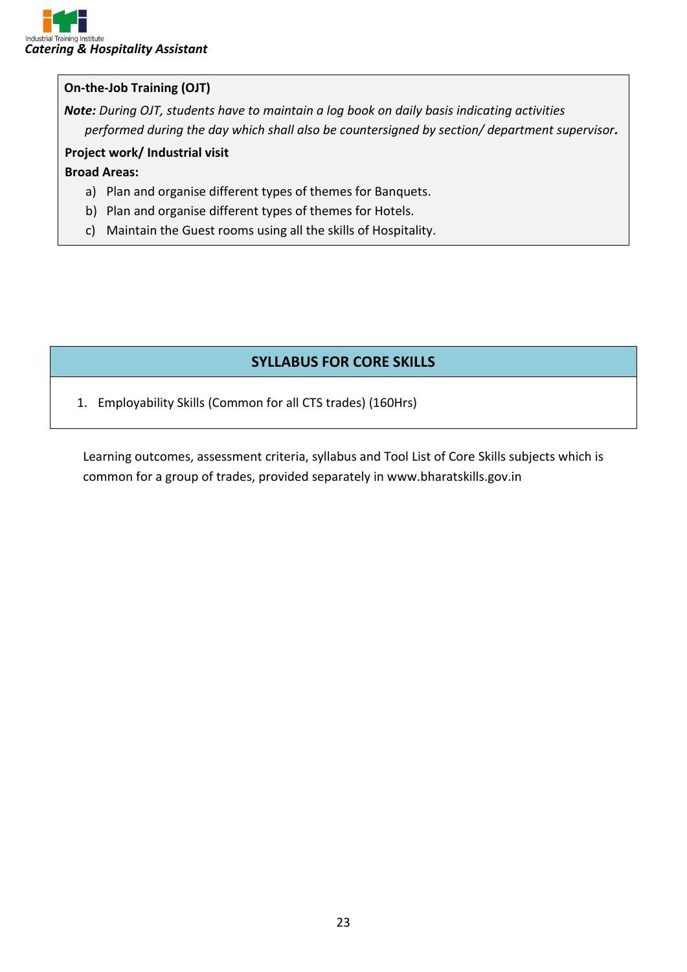#### **On-the-Job Training (OJT)**

*Note: During OJT, students have to maintain a log book on daily basis indicating activities performed during the day which shall also be countersigned by section/ department supervisor.*

#### **Project work/ Industrial visit**

#### **Broad Areas:**

- a) Plan and organise different types of themes for Banquets.
- b) Plan and organise different types of themes for Hotels.
- c) Maintain the Guest rooms using all the skills of Hospitality.

#### **SYLLABUS FOR CORE SKILLS**

1. Employability Skills (Common for all CTS trades) (160Hrs)

Learning outcomes, assessment criteria, syllabus and Tool List of Core Skills subjects which is common for a group of trades, provided separately in www.bharatskills.gov.in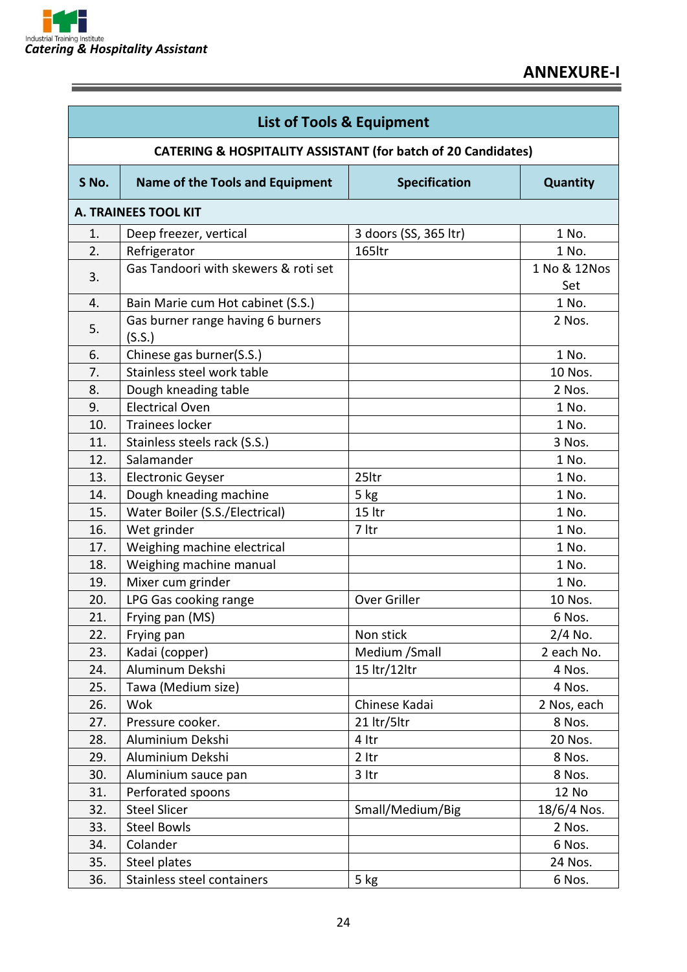

Ε

| <b>List of Tools &amp; Equipment</b>                          |                                             |                       |                      |  |  |  |  |
|---------------------------------------------------------------|---------------------------------------------|-----------------------|----------------------|--|--|--|--|
| CATERING & HOSPITALITY ASSISTANT (for batch of 20 Candidates) |                                             |                       |                      |  |  |  |  |
| S No.                                                         | Name of the Tools and Equipment             | <b>Specification</b>  | Quantity             |  |  |  |  |
|                                                               | <b>A. TRAINEES TOOL KIT</b>                 |                       |                      |  |  |  |  |
| 1.                                                            | Deep freezer, vertical                      | 3 doors (SS, 365 ltr) | 1 No.                |  |  |  |  |
| 2.                                                            | Refrigerator                                | 165ltr                | 1 No.                |  |  |  |  |
| 3.                                                            | Gas Tandoori with skewers & roti set        |                       | 1 No & 12 Nos<br>Set |  |  |  |  |
| 4.                                                            | Bain Marie cum Hot cabinet (S.S.)           |                       | 1 No.                |  |  |  |  |
| 5.                                                            | Gas burner range having 6 burners<br>(S.S.) |                       | 2 Nos.               |  |  |  |  |
| 6.                                                            | Chinese gas burner(S.S.)                    |                       | 1 No.                |  |  |  |  |
| 7.                                                            | Stainless steel work table                  |                       | 10 Nos.              |  |  |  |  |
| 8.                                                            | Dough kneading table                        |                       | 2 Nos.               |  |  |  |  |
| 9.                                                            | <b>Electrical Oven</b>                      |                       | 1 No.                |  |  |  |  |
| 10.                                                           | <b>Trainees locker</b>                      |                       | 1 No.                |  |  |  |  |
| 11.                                                           | Stainless steels rack (S.S.)                |                       | 3 Nos.               |  |  |  |  |
| 12.                                                           | Salamander                                  |                       | 1 No.                |  |  |  |  |
| 13.                                                           | <b>Electronic Geyser</b>                    | 25ltr                 | 1 No.                |  |  |  |  |
| 14.                                                           | Dough kneading machine                      | 5 kg                  | 1 No.                |  |  |  |  |
| 15.                                                           | Water Boiler (S.S./Electrical)              | 15 ltr                | 1 No.                |  |  |  |  |
| 16.                                                           | Wet grinder                                 | 7 ltr                 | 1 No.                |  |  |  |  |
| 17.                                                           | Weighing machine electrical                 |                       | 1 No.                |  |  |  |  |
| 18.                                                           | Weighing machine manual                     |                       | 1 No.                |  |  |  |  |
| 19.                                                           | Mixer cum grinder                           |                       | 1 No.                |  |  |  |  |
| 20.                                                           | LPG Gas cooking range                       | Over Griller          | 10 Nos.              |  |  |  |  |
| 21.                                                           | Frying pan (MS)                             |                       | 6 Nos.               |  |  |  |  |
| 22.                                                           | Frying pan                                  | Non stick             | 2/4 No.              |  |  |  |  |
| 23.                                                           | Kadai (copper)                              | Medium / Small        | 2 each No.           |  |  |  |  |
| 24.                                                           | Aluminum Dekshi                             | 15 ltr/12ltr          | 4 Nos.               |  |  |  |  |
| 25.                                                           | Tawa (Medium size)                          |                       | 4 Nos.               |  |  |  |  |
| 26.                                                           | Wok                                         | Chinese Kadai         | 2 Nos, each          |  |  |  |  |
| 27.                                                           | Pressure cooker.                            | 21 ltr/5ltr           | 8 Nos.               |  |  |  |  |
| 28.                                                           | Aluminium Dekshi                            | 4 Itr                 | 20 Nos.              |  |  |  |  |
| 29.                                                           | Aluminium Dekshi                            | $2$ ltr               | 8 Nos.               |  |  |  |  |
| 30.                                                           | Aluminium sauce pan                         | $3$ ltr               | 8 Nos.               |  |  |  |  |
| 31.                                                           | Perforated spoons                           |                       | 12 No                |  |  |  |  |
| 32.                                                           | <b>Steel Slicer</b>                         | Small/Medium/Big      | 18/6/4 Nos.          |  |  |  |  |
| 33.                                                           | <b>Steel Bowls</b>                          |                       | 2 Nos.               |  |  |  |  |
| 34.                                                           | Colander                                    |                       | 6 Nos.               |  |  |  |  |
| 35.                                                           | Steel plates                                |                       | 24 Nos.              |  |  |  |  |
| 36.                                                           | Stainless steel containers                  | 5 kg                  | 6 Nos.               |  |  |  |  |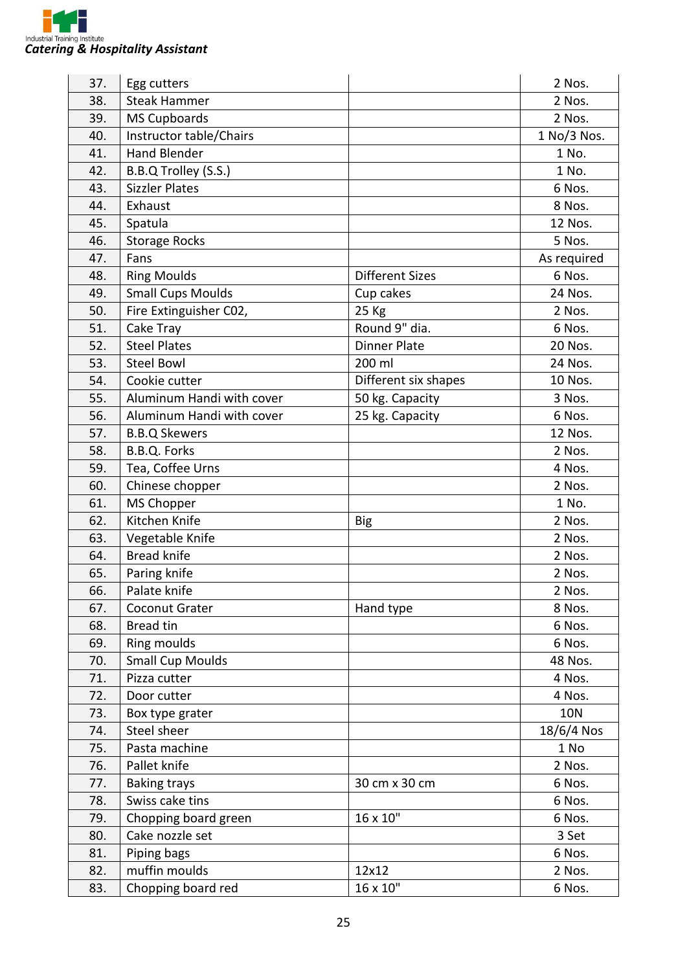

| 37. | Egg cutters               |                        | 2 Nos.      |
|-----|---------------------------|------------------------|-------------|
| 38. | <b>Steak Hammer</b>       |                        | 2 Nos.      |
| 39. | <b>MS Cupboards</b>       |                        | 2 Nos.      |
| 40. | Instructor table/Chairs   |                        | 1 No/3 Nos. |
| 41. | <b>Hand Blender</b>       |                        | 1 No.       |
| 42. | B.B.Q Trolley (S.S.)      |                        | 1 No.       |
| 43. | <b>Sizzler Plates</b>     |                        | 6 Nos.      |
| 44. | Exhaust                   |                        | 8 Nos.      |
| 45. | Spatula                   |                        | 12 Nos.     |
| 46. | <b>Storage Rocks</b>      |                        | 5 Nos.      |
| 47. | Fans                      |                        | As required |
| 48. | <b>Ring Moulds</b>        | <b>Different Sizes</b> | 6 Nos.      |
| 49. | <b>Small Cups Moulds</b>  | Cup cakes              | 24 Nos.     |
| 50. | Fire Extinguisher C02,    | 25 Kg                  | 2 Nos.      |
| 51. | Cake Tray                 | Round 9" dia.          | 6 Nos.      |
| 52. | <b>Steel Plates</b>       | <b>Dinner Plate</b>    | 20 Nos.     |
| 53. | <b>Steel Bowl</b>         | 200 ml                 | 24 Nos.     |
| 54. | Cookie cutter             | Different six shapes   | 10 Nos.     |
| 55. | Aluminum Handi with cover | 50 kg. Capacity        | 3 Nos.      |
| 56. | Aluminum Handi with cover | 25 kg. Capacity        | 6 Nos.      |
| 57. | <b>B.B.Q Skewers</b>      |                        | 12 Nos.     |
| 58. | B.B.Q. Forks              |                        | 2 Nos.      |
| 59. | Tea, Coffee Urns          |                        | 4 Nos.      |
| 60. | Chinese chopper           |                        | 2 Nos.      |
| 61. | <b>MS Chopper</b>         |                        | 1 No.       |
| 62. | Kitchen Knife             | <b>Big</b>             | 2 Nos.      |
| 63. | Vegetable Knife           |                        | 2 Nos.      |
| 64. | <b>Bread knife</b>        |                        | 2 Nos.      |
| 65. | Paring knife              |                        | 2 Nos.      |
| 66. | Palate knife              |                        | 2 Nos.      |
| 67. | Coconut Grater            | Hand type              | 8 Nos.      |
| 68. | <b>Bread tin</b>          |                        | 6 Nos.      |
| 69. | Ring moulds               |                        | 6 Nos.      |
| 70. | <b>Small Cup Moulds</b>   |                        | 48 Nos.     |
| 71. | Pizza cutter              |                        | 4 Nos.      |
| 72. | Door cutter               |                        | 4 Nos.      |
| 73. | Box type grater           |                        | <b>10N</b>  |
| 74. | Steel sheer               |                        | 18/6/4 Nos  |
| 75. | Pasta machine             |                        | 1 No        |
| 76. | Pallet knife              |                        | 2 Nos.      |
| 77. | <b>Baking trays</b>       | 30 cm x 30 cm          | 6 Nos.      |
| 78. | Swiss cake tins           |                        | 6 Nos.      |
| 79. | Chopping board green      | 16 x 10"               | 6 Nos.      |
| 80. | Cake nozzle set           |                        | 3 Set       |
| 81. | Piping bags               |                        | 6 Nos.      |
| 82. | muffin moulds             | 12x12                  | 2 Nos.      |
| 83. | Chopping board red        | 16 x 10"               | 6 Nos.      |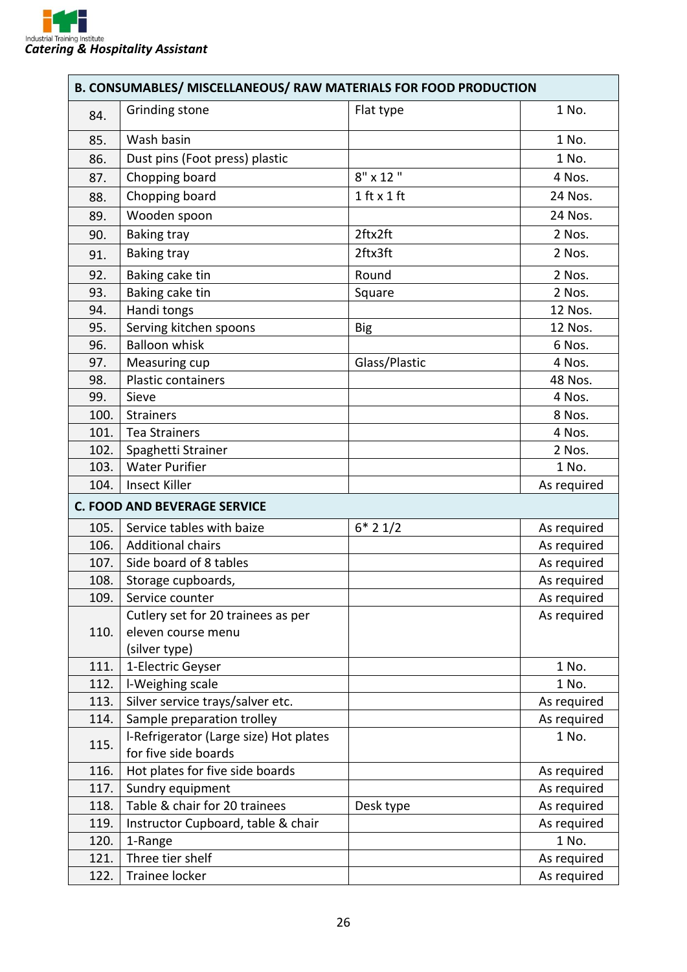

| <b>B. CONSUMABLES/ MISCELLANEOUS/ RAW MATERIALS FOR FOOD PRODUCTION</b> |                                        |                 |             |  |
|-------------------------------------------------------------------------|----------------------------------------|-----------------|-------------|--|
| 84.                                                                     | Grinding stone                         | Flat type       | 1 No.       |  |
| 85.                                                                     | Wash basin                             |                 | 1 No.       |  |
| 86.                                                                     | Dust pins (Foot press) plastic         |                 | 1 No.       |  |
| 87.                                                                     | Chopping board                         | $8" \times 12"$ | 4 Nos.      |  |
| 88.                                                                     | Chopping board                         | $1$ ft $x$ 1 ft | 24 Nos.     |  |
| 89.                                                                     | Wooden spoon                           |                 | 24 Nos.     |  |
| 90.                                                                     | <b>Baking tray</b>                     | 2ftx2ft         | 2 Nos.      |  |
| 91.                                                                     | <b>Baking tray</b>                     | 2ftx3ft         | 2 Nos.      |  |
| 92.                                                                     | Baking cake tin                        | Round           | 2 Nos.      |  |
| 93.                                                                     | Baking cake tin                        | Square          | 2 Nos.      |  |
| 94.                                                                     | Handi tongs                            |                 | 12 Nos.     |  |
| 95.                                                                     | Serving kitchen spoons                 | <b>Big</b>      | 12 Nos.     |  |
| 96.                                                                     | <b>Balloon whisk</b>                   |                 | 6 Nos.      |  |
| 97.                                                                     | Measuring cup                          | Glass/Plastic   | 4 Nos.      |  |
| 98.                                                                     | <b>Plastic containers</b>              |                 | 48 Nos.     |  |
| 99.                                                                     | Sieve                                  |                 | 4 Nos.      |  |
| 100.                                                                    | <b>Strainers</b>                       |                 | 8 Nos.      |  |
| 101.                                                                    | <b>Tea Strainers</b>                   |                 | 4 Nos.      |  |
| 102.                                                                    | Spaghetti Strainer                     |                 | 2 Nos.      |  |
| 103.                                                                    | <b>Water Purifier</b>                  |                 | 1 No.       |  |
| 104.                                                                    | Insect Killer                          |                 | As required |  |
|                                                                         | <b>C. FOOD AND BEVERAGE SERVICE</b>    |                 |             |  |
| 105.                                                                    | Service tables with baize              | $6*21/2$        | As required |  |
| 106.                                                                    | <b>Additional chairs</b>               |                 | As required |  |
| 107.                                                                    | Side board of 8 tables                 |                 | As required |  |
| 108.                                                                    | Storage cupboards,                     |                 | As required |  |
| 109.                                                                    | Service counter                        |                 | As required |  |
|                                                                         | Cutlery set for 20 trainees as per     |                 | As required |  |
| 110.                                                                    | eleven course menu                     |                 |             |  |
|                                                                         | (silver type)                          |                 |             |  |
| 111.                                                                    | 1-Electric Geyser                      |                 | 1 No.       |  |
| 112.                                                                    | I-Weighing scale                       |                 | 1 No.       |  |
| 113.                                                                    | Silver service trays/salver etc.       |                 | As required |  |
| 114.                                                                    | Sample preparation trolley             |                 | As required |  |
| 115.                                                                    | I-Refrigerator (Large size) Hot plates |                 | 1 No.       |  |
|                                                                         | for five side boards                   |                 |             |  |
| 116.                                                                    | Hot plates for five side boards        |                 | As required |  |
| 117.                                                                    | Sundry equipment                       |                 | As required |  |
| 118.                                                                    | Table & chair for 20 trainees          | Desk type       | As required |  |
| 119.                                                                    | Instructor Cupboard, table & chair     |                 | As required |  |
| 120.                                                                    | 1-Range                                |                 | 1 No.       |  |
| 121.                                                                    | Three tier shelf                       |                 | As required |  |
| 122.                                                                    | Trainee locker                         |                 | As required |  |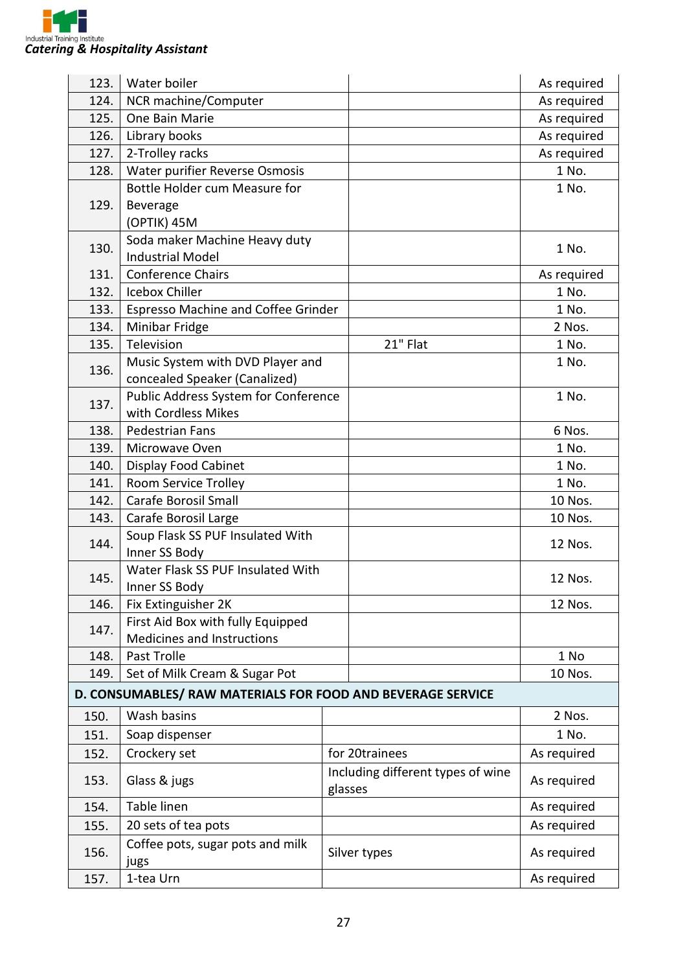

| 123. | Water boiler                                                |  |                                              | As required |
|------|-------------------------------------------------------------|--|----------------------------------------------|-------------|
| 124. | NCR machine/Computer                                        |  |                                              | As required |
| 125. | One Bain Marie                                              |  |                                              | As required |
| 126. | Library books                                               |  |                                              | As required |
| 127. | 2-Trolley racks                                             |  |                                              | As required |
| 128. | Water purifier Reverse Osmosis                              |  |                                              | 1 No.       |
|      | Bottle Holder cum Measure for                               |  |                                              | 1 No.       |
| 129. | Beverage                                                    |  |                                              |             |
|      | (OPTIK) 45M                                                 |  |                                              |             |
| 130. | Soda maker Machine Heavy duty                               |  |                                              | 1 No.       |
|      | <b>Industrial Model</b>                                     |  |                                              |             |
| 131. | <b>Conference Chairs</b>                                    |  |                                              | As required |
| 132. | Icebox Chiller                                              |  |                                              | 1 No.       |
| 133. | Espresso Machine and Coffee Grinder                         |  |                                              | 1 No.       |
| 134. | Minibar Fridge                                              |  |                                              | 2 Nos.      |
| 135. | Television                                                  |  | 21" Flat                                     | 1 No.       |
| 136. | Music System with DVD Player and                            |  |                                              | 1 No.       |
|      | concealed Speaker (Canalized)                               |  |                                              |             |
| 137. | Public Address System for Conference                        |  |                                              | 1 No.       |
|      | with Cordless Mikes                                         |  |                                              |             |
| 138. | Pedestrian Fans                                             |  |                                              | 6 Nos.      |
| 139. | Microwave Oven                                              |  |                                              | 1 No.       |
| 140. | <b>Display Food Cabinet</b>                                 |  |                                              | 1 No.       |
| 141. | Room Service Trolley                                        |  |                                              | 1 No.       |
| 142. | <b>Carafe Borosil Small</b>                                 |  |                                              | 10 Nos.     |
| 143. | Carafe Borosil Large                                        |  |                                              | 10 Nos.     |
| 144. | Soup Flask SS PUF Insulated With                            |  |                                              | 12 Nos.     |
|      | Inner SS Body                                               |  |                                              |             |
| 145. | Water Flask SS PUF Insulated With                           |  |                                              | 12 Nos.     |
|      | Inner SS Body                                               |  |                                              |             |
| 146. | Fix Extinguisher 2K                                         |  |                                              | 12 Nos.     |
| 147. | First Aid Box with fully Equipped                           |  |                                              |             |
|      | Medicines and Instructions                                  |  |                                              |             |
| 148. | Past Trolle                                                 |  |                                              | 1 No        |
| 149. | Set of Milk Cream & Sugar Pot                               |  |                                              | 10 Nos.     |
|      | D. CONSUMABLES/ RAW MATERIALS FOR FOOD AND BEVERAGE SERVICE |  |                                              |             |
| 150. | Wash basins                                                 |  |                                              | 2 Nos.      |
| 151. | Soap dispenser                                              |  |                                              | 1 No.       |
| 152. | Crockery set                                                |  | for 20trainees                               | As required |
| 153. | Glass & jugs                                                |  | Including different types of wine<br>glasses | As required |
| 154. | Table linen                                                 |  |                                              | As required |
| 155. | 20 sets of tea pots                                         |  |                                              | As required |
| 156. | Coffee pots, sugar pots and milk<br>jugs                    |  | Silver types                                 | As required |
| 157. | 1-tea Urn                                                   |  |                                              | As required |
|      |                                                             |  |                                              |             |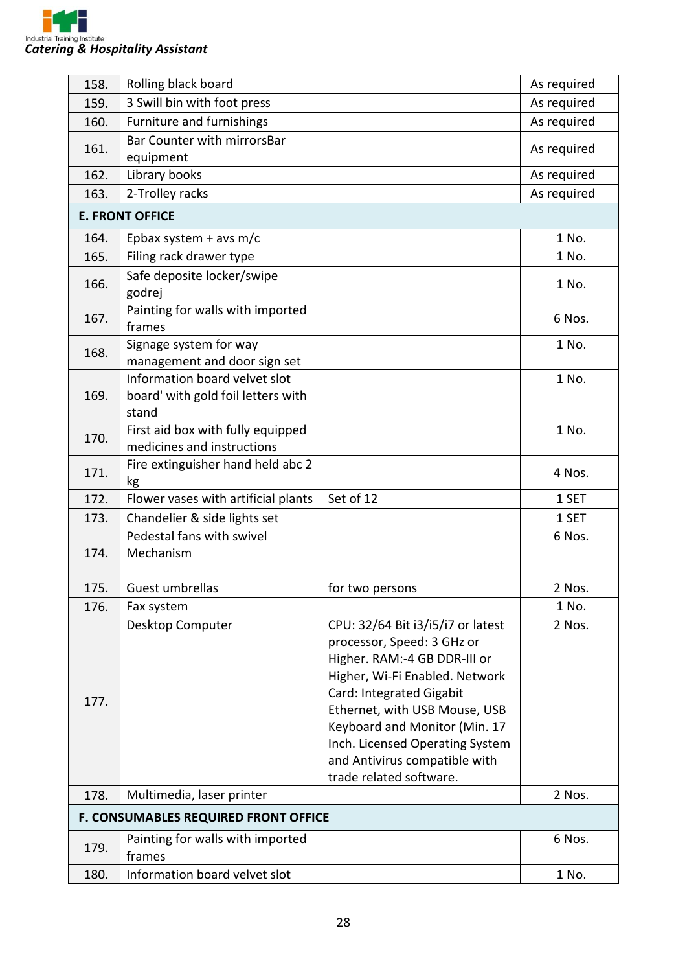

| 158. | Rolling black board                                                          |                                                                                                                                                                                                                                                                                                                                | As required |
|------|------------------------------------------------------------------------------|--------------------------------------------------------------------------------------------------------------------------------------------------------------------------------------------------------------------------------------------------------------------------------------------------------------------------------|-------------|
| 159. | 3 Swill bin with foot press                                                  |                                                                                                                                                                                                                                                                                                                                | As required |
| 160. | Furniture and furnishings                                                    |                                                                                                                                                                                                                                                                                                                                | As required |
| 161. | Bar Counter with mirrorsBar<br>equipment                                     |                                                                                                                                                                                                                                                                                                                                | As required |
| 162. | Library books                                                                |                                                                                                                                                                                                                                                                                                                                | As required |
| 163. | 2-Trolley racks                                                              |                                                                                                                                                                                                                                                                                                                                | As required |
|      | <b>E. FRONT OFFICE</b>                                                       |                                                                                                                                                                                                                                                                                                                                |             |
| 164. | Epbax system + avs m/c                                                       |                                                                                                                                                                                                                                                                                                                                | 1 No.       |
| 165. | Filing rack drawer type                                                      |                                                                                                                                                                                                                                                                                                                                | 1 No.       |
| 166. | Safe deposite locker/swipe<br>godrej                                         |                                                                                                                                                                                                                                                                                                                                | 1 No.       |
| 167. | Painting for walls with imported<br>frames                                   |                                                                                                                                                                                                                                                                                                                                | 6 Nos.      |
| 168. | Signage system for way<br>management and door sign set                       |                                                                                                                                                                                                                                                                                                                                | 1 No.       |
| 169. | Information board velvet slot<br>board' with gold foil letters with<br>stand |                                                                                                                                                                                                                                                                                                                                | 1 No.       |
| 170. | First aid box with fully equipped<br>medicines and instructions              |                                                                                                                                                                                                                                                                                                                                | 1 No.       |
| 171. | Fire extinguisher hand held abc 2<br>kg                                      |                                                                                                                                                                                                                                                                                                                                | 4 Nos.      |
| 172. | Flower vases with artificial plants                                          | Set of 12                                                                                                                                                                                                                                                                                                                      | 1 SET       |
| 173. | Chandelier & side lights set                                                 |                                                                                                                                                                                                                                                                                                                                | 1 SET       |
| 174. | Pedestal fans with swivel<br>Mechanism                                       |                                                                                                                                                                                                                                                                                                                                | 6 Nos.      |
| 175. | Guest umbrellas                                                              | for two persons                                                                                                                                                                                                                                                                                                                | 2 Nos.      |
| 176. | Fax system                                                                   |                                                                                                                                                                                                                                                                                                                                | 1 No.       |
| 177. | Desktop Computer                                                             | CPU: 32/64 Bit i3/i5/i7 or latest<br>processor, Speed: 3 GHz or<br>Higher. RAM:-4 GB DDR-III or<br>Higher, Wi-Fi Enabled. Network<br>Card: Integrated Gigabit<br>Ethernet, with USB Mouse, USB<br>Keyboard and Monitor (Min. 17<br>Inch. Licensed Operating System<br>and Antivirus compatible with<br>trade related software. | 2 Nos.      |
| 178. | Multimedia, laser printer                                                    |                                                                                                                                                                                                                                                                                                                                | 2 Nos.      |
|      | F. CONSUMABLES REQUIRED FRONT OFFICE                                         |                                                                                                                                                                                                                                                                                                                                |             |
| 179. | Painting for walls with imported<br>frames                                   |                                                                                                                                                                                                                                                                                                                                | 6 Nos.      |
| 180. | Information board velvet slot                                                |                                                                                                                                                                                                                                                                                                                                | 1 No.       |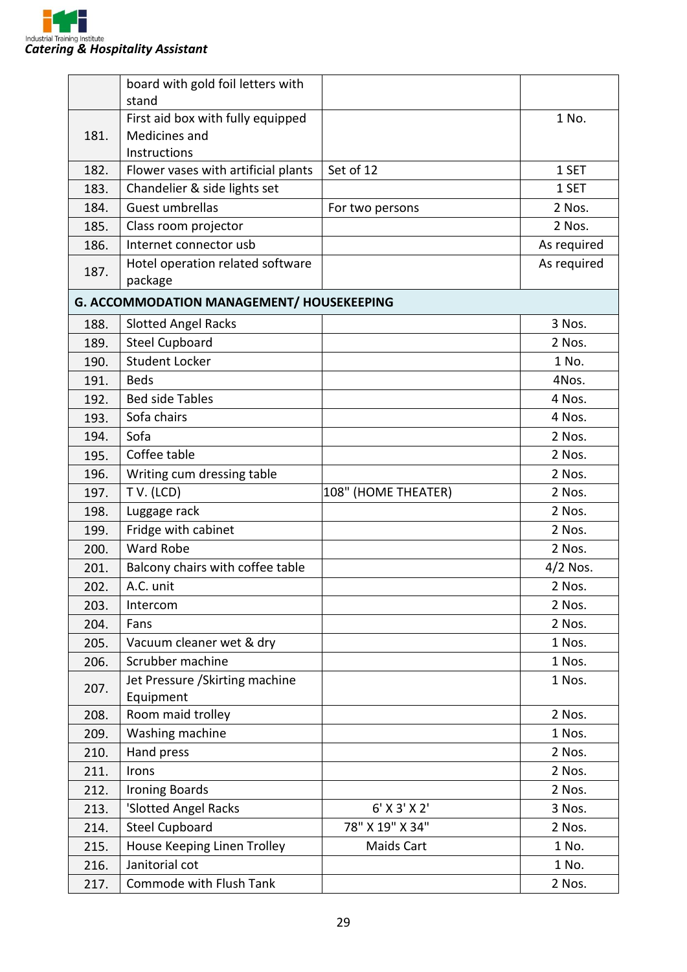

|      | board with gold foil letters with            |                     |             |
|------|----------------------------------------------|---------------------|-------------|
|      | stand                                        |                     |             |
|      | First aid box with fully equipped            |                     | 1 No.       |
| 181. | Medicines and                                |                     |             |
|      | Instructions                                 |                     |             |
| 182. | Flower vases with artificial plants          | Set of 12           | 1 SET       |
| 183. | Chandelier & side lights set                 |                     | 1 SET       |
| 184. | Guest umbrellas                              | For two persons     | 2 Nos.      |
| 185. | Class room projector                         |                     | 2 Nos.      |
| 186. | Internet connector usb                       |                     | As required |
| 187. | Hotel operation related software<br>package  |                     | As required |
|      | G. ACCOMMODATION MANAGEMENT/ HOUSEKEEPING    |                     |             |
| 188. | <b>Slotted Angel Racks</b>                   |                     | 3 Nos.      |
| 189. | <b>Steel Cupboard</b>                        |                     | 2 Nos.      |
| 190. | <b>Student Locker</b>                        |                     | 1 No.       |
| 191. | <b>Beds</b>                                  |                     | 4Nos.       |
| 192. | <b>Bed side Tables</b><br>4 Nos.             |                     |             |
| 193. | Sofa chairs                                  |                     | 4 Nos.      |
| 194. | Sofa                                         |                     | 2 Nos.      |
| 195. | Coffee table                                 |                     | 2 Nos.      |
| 196. | Writing cum dressing table                   |                     | 2 Nos.      |
| 197. | TV. (LCD)                                    | 108" (HOME THEATER) | 2 Nos.      |
| 198. | Luggage rack                                 |                     | 2 Nos.      |
| 199. | Fridge with cabinet                          |                     | 2 Nos.      |
| 200. | <b>Ward Robe</b>                             |                     | 2 Nos.      |
| 201. | Balcony chairs with coffee table             |                     | $4/2$ Nos.  |
| 202  | A.C. unit                                    |                     | 2 Nos.      |
| 203. | Intercom                                     |                     | 2 Nos.      |
| 204. | Fans                                         |                     | 2 Nos.      |
| 205. | Vacuum cleaner wet & dry                     |                     | 1 Nos.      |
| 206. | Scrubber machine                             |                     | 1 Nos.      |
| 207. | Jet Pressure / Skirting machine<br>Equipment |                     | 1 Nos.      |
| 208. | Room maid trolley                            |                     | 2 Nos.      |
| 209. | Washing machine                              |                     | 1 Nos.      |
| 210. | Hand press                                   |                     | 2 Nos.      |
| 211. | Irons                                        |                     | 2 Nos.      |
| 212. | <b>Ironing Boards</b>                        |                     | 2 Nos.      |
| 213. | 'Slotted Angel Racks                         | 6' X 3' X 2'        | 3 Nos.      |
| 214. | <b>Steel Cupboard</b>                        | 78" X 19" X 34"     | 2 Nos.      |
| 215. | House Keeping Linen Trolley                  | Maids Cart          | 1 No.       |
| 216. | Janitorial cot                               |                     | 1 No.       |
| 217. | Commode with Flush Tank                      |                     | 2 Nos.      |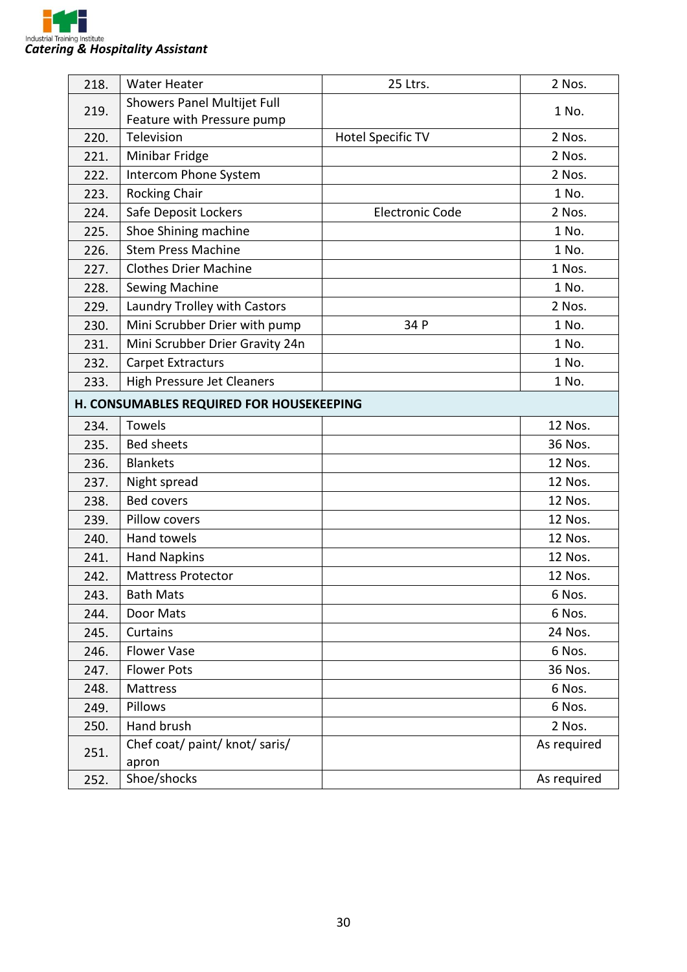

| 218.                                     | <b>Water Heater</b>                     | 25 Ltrs.                 | 2 Nos.      |
|------------------------------------------|-----------------------------------------|--------------------------|-------------|
| 219.                                     | Showers Panel Multijet Full             |                          | 1 No.       |
|                                          | Feature with Pressure pump              |                          |             |
| 220.                                     | Television                              | <b>Hotel Specific TV</b> | 2 Nos.      |
| 221.                                     | Minibar Fridge                          |                          | 2 Nos.      |
| 222.                                     | Intercom Phone System                   |                          | 2 Nos.      |
| 223.                                     | Rocking Chair                           |                          | 1 No.       |
| 224.                                     | Safe Deposit Lockers                    | <b>Electronic Code</b>   | 2 Nos.      |
| 225.                                     | Shoe Shining machine                    |                          | 1 No.       |
| 226.                                     | <b>Stem Press Machine</b>               |                          | 1 No.       |
| 227.                                     | <b>Clothes Drier Machine</b>            |                          | 1 Nos.      |
| 228.                                     | Sewing Machine                          |                          | 1 No.       |
| 229.                                     | Laundry Trolley with Castors            |                          | 2 Nos.      |
| 230.                                     | Mini Scrubber Drier with pump           | 34 P                     | 1 No.       |
| 231.                                     | Mini Scrubber Drier Gravity 24n         |                          | 1 No.       |
| 232.                                     | <b>Carpet Extracturs</b>                |                          | 1 No.       |
| 233.                                     | <b>High Pressure Jet Cleaners</b>       |                          | 1 No.       |
| H. CONSUMABLES REQUIRED FOR HOUSEKEEPING |                                         |                          |             |
| 234.                                     | Towels                                  |                          | 12 Nos.     |
| 235.                                     | <b>Bed sheets</b>                       |                          | 36 Nos.     |
| 236.                                     | <b>Blankets</b>                         |                          | 12 Nos.     |
| 237.                                     | Night spread                            |                          | 12 Nos.     |
| 238.                                     | <b>Bed covers</b>                       |                          | 12 Nos.     |
| 239.                                     | Pillow covers                           |                          | 12 Nos.     |
| 240.                                     | <b>Hand towels</b>                      |                          | 12 Nos.     |
| 241.                                     | <b>Hand Napkins</b>                     |                          | 12 Nos.     |
| 242.                                     | <b>Mattress Protector</b>               |                          | 12 Nos.     |
| 243.                                     | <b>Bath Mats</b>                        |                          | 6 Nos.      |
| 244.                                     | Door Mats                               |                          | 6 Nos.      |
| 245.                                     | Curtains                                |                          | 24 Nos.     |
| 246.                                     | <b>Flower Vase</b>                      |                          | 6 Nos.      |
| 247.                                     | <b>Flower Pots</b>                      |                          | 36 Nos.     |
| 248.                                     | Mattress                                |                          | 6 Nos.      |
| 249.                                     | Pillows                                 |                          | 6 Nos.      |
| 250.                                     | Hand brush                              |                          | 2 Nos.      |
| 251.                                     | Chef coat/ paint/ knot/ saris/<br>apron |                          | As required |
| 252.                                     | Shoe/shocks                             |                          | As required |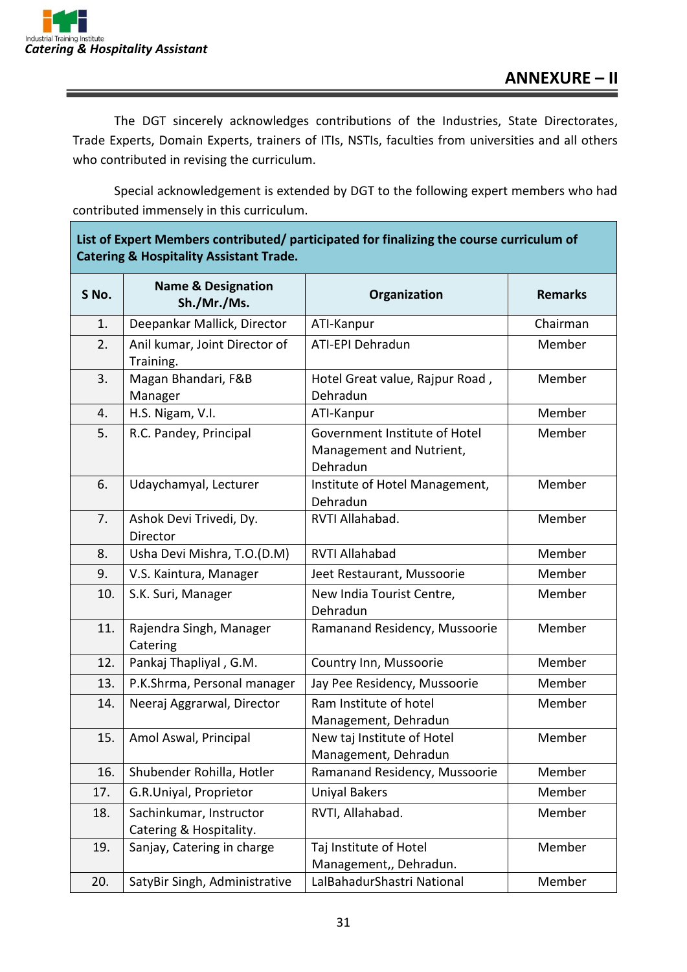The DGT sincerely acknowledges contributions of the Industries, State Directorates, Trade Experts, Domain Experts, trainers of ITIs, NSTIs, faculties from universities and all others who contributed in revising the curriculum.

Special acknowledgement is extended by DGT to the following expert members who had contributed immensely in this curriculum.

| List of Expert Members contributed/ participated for finalizing the course curriculum of |
|------------------------------------------------------------------------------------------|
| <b>Catering &amp; Hospitality Assistant Trade.</b>                                       |

| S No. | <b>Name &amp; Designation</b><br>Sh./Mr./Ms.       | Organization                                                          | <b>Remarks</b> |
|-------|----------------------------------------------------|-----------------------------------------------------------------------|----------------|
| 1.    | Deepankar Mallick, Director                        | ATI-Kanpur                                                            | Chairman       |
| 2.    | Anil kumar, Joint Director of<br>Training.         | ATI-EPI Dehradun                                                      | Member         |
| 3.    | Magan Bhandari, F&B<br>Manager                     | Hotel Great value, Rajpur Road,<br>Dehradun                           | Member         |
| 4.    | H.S. Nigam, V.I.                                   | ATI-Kanpur                                                            | Member         |
| 5.    | R.C. Pandey, Principal                             | Government Institute of Hotel<br>Management and Nutrient,<br>Dehradun | Member         |
| 6.    | Udaychamyal, Lecturer                              | Institute of Hotel Management,<br>Dehradun                            | Member         |
| 7.    | Ashok Devi Trivedi, Dy.<br>Director                | RVTI Allahabad.                                                       | Member         |
| 8.    | Usha Devi Mishra, T.O.(D.M)                        | <b>RVTI Allahabad</b>                                                 | Member         |
| 9.    | V.S. Kaintura, Manager                             | Jeet Restaurant, Mussoorie                                            | Member         |
| 10.   | S.K. Suri, Manager                                 | New India Tourist Centre,<br>Dehradun                                 | Member         |
| 11.   | Rajendra Singh, Manager<br>Catering                | Ramanand Residency, Mussoorie                                         | Member         |
| 12.   | Pankaj Thapliyal, G.M.                             | Country Inn, Mussoorie                                                | Member         |
| 13.   | P.K.Shrma, Personal manager                        | Jay Pee Residency, Mussoorie                                          | Member         |
| 14.   | Neeraj Aggrarwal, Director                         | Ram Institute of hotel<br>Management, Dehradun                        | Member         |
| 15.   | Amol Aswal, Principal                              | New taj Institute of Hotel<br>Management, Dehradun                    | Member         |
| 16.   | Shubender Rohilla, Hotler                          | Ramanand Residency, Mussoorie                                         | Member         |
| 17.   | G.R.Uniyal, Proprietor                             | Uniyal Bakers                                                         | Member         |
| 18.   | Sachinkumar, Instructor<br>Catering & Hospitality. | RVTI, Allahabad.                                                      | Member         |
| 19.   | Sanjay, Catering in charge                         | Taj Institute of Hotel<br>Management,, Dehradun.                      | Member         |
| 20.   | SatyBir Singh, Administrative                      | LalBahadurShastri National                                            | Member         |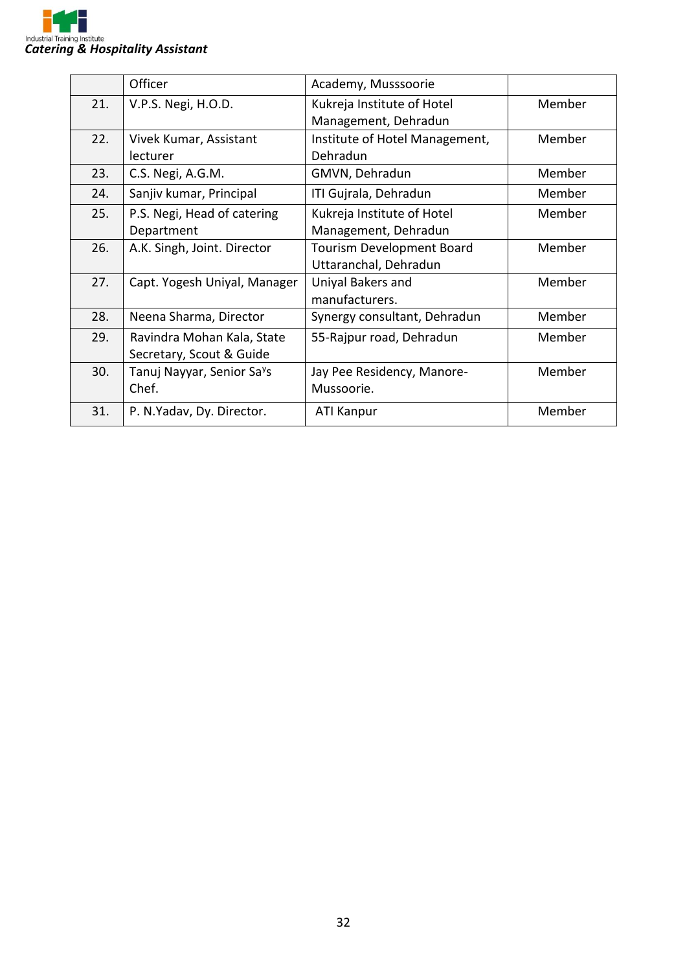

|     | Officer                                | Academy, Musssoorie              |        |
|-----|----------------------------------------|----------------------------------|--------|
| 21. | V.P.S. Negi, H.O.D.                    | Kukreja Institute of Hotel       | Member |
|     |                                        | Management, Dehradun             |        |
| 22. | Vivek Kumar, Assistant                 | Institute of Hotel Management,   | Member |
|     | lecturer                               | Dehradun                         |        |
| 23. | C.S. Negi, A.G.M.                      | GMVN, Dehradun                   | Member |
| 24. | Sanjiv kumar, Principal                | ITI Gujrala, Dehradun            | Member |
| 25. | P.S. Negi, Head of catering            | Kukreja Institute of Hotel       | Member |
|     | Department                             | Management, Dehradun             |        |
| 26. | A.K. Singh, Joint. Director            | <b>Tourism Development Board</b> | Member |
|     |                                        | Uttaranchal, Dehradun            |        |
| 27. | Capt. Yogesh Uniyal, Manager           | Uniyal Bakers and                | Member |
|     |                                        | manufacturers.                   |        |
| 28. | Neena Sharma, Director                 | Synergy consultant, Dehradun     | Member |
| 29. | Ravindra Mohan Kala, State             | 55-Rajpur road, Dehradun         | Member |
|     | Secretary, Scout & Guide               |                                  |        |
| 30. | Tanuj Nayyar, Senior Sa <sup>y</sup> s | Jay Pee Residency, Manore-       | Member |
|     | Chef.                                  | Mussoorie.                       |        |
| 31. | P. N.Yadav, Dy. Director.              | <b>ATI Kanpur</b>                | Member |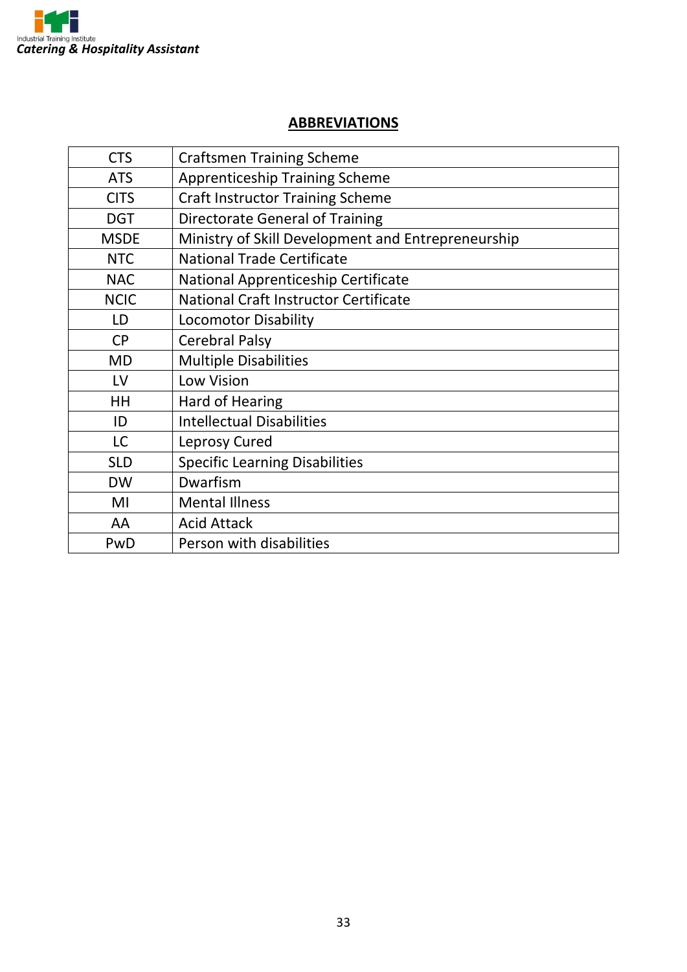

#### **ABBREVIATIONS**

| <b>CTS</b>  | <b>Craftsmen Training Scheme</b>                   |
|-------------|----------------------------------------------------|
| <b>ATS</b>  | <b>Apprenticeship Training Scheme</b>              |
| <b>CITS</b> | <b>Craft Instructor Training Scheme</b>            |
| <b>DGT</b>  | <b>Directorate General of Training</b>             |
| <b>MSDE</b> | Ministry of Skill Development and Entrepreneurship |
| <b>NTC</b>  | <b>National Trade Certificate</b>                  |
| <b>NAC</b>  | National Apprenticeship Certificate                |
| <b>NCIC</b> | <b>National Craft Instructor Certificate</b>       |
| LD          | <b>Locomotor Disability</b>                        |
| <b>CP</b>   | <b>Cerebral Palsy</b>                              |
| <b>MD</b>   | <b>Multiple Disabilities</b>                       |
| LV          | <b>Low Vision</b>                                  |
| HH          | Hard of Hearing                                    |
| ID          | <b>Intellectual Disabilities</b>                   |
| <b>LC</b>   | Leprosy Cured                                      |
| <b>SLD</b>  | <b>Specific Learning Disabilities</b>              |
| <b>DW</b>   | Dwarfism                                           |
| MI          | <b>Mental Illness</b>                              |
| AA          | <b>Acid Attack</b>                                 |
| PwD         | Person with disabilities                           |